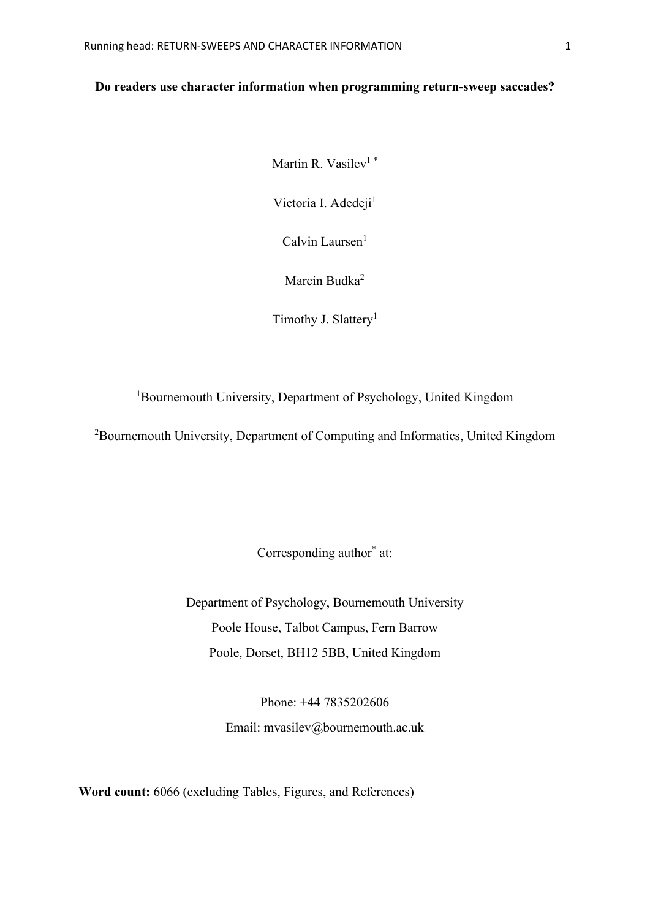# **Do readers use character information when programming return-sweep saccades?**

Martin R. Vasilev<sup>1</sup>\*

Victoria I. Adedeji<sup>1</sup>

 $Calvin Laurent<sup>1</sup>$ 

Marcin Budka<sup>2</sup>

Timothy J. Slattery<sup>1</sup>

<sup>1</sup>Bournemouth University, Department of Psychology, United Kingdom

<sup>2</sup>Bournemouth University, Department of Computing and Informatics, United Kingdom

Corresponding author<sup>\*</sup> at:

Department of Psychology, Bournemouth University Poole House, Talbot Campus, Fern Barrow Poole, Dorset, BH12 5BB, United Kingdom

> Phone: +44 7835202606 Email: mvasilev@bournemouth.ac.uk

**Word count:** 6066 (excluding Tables, Figures, and References)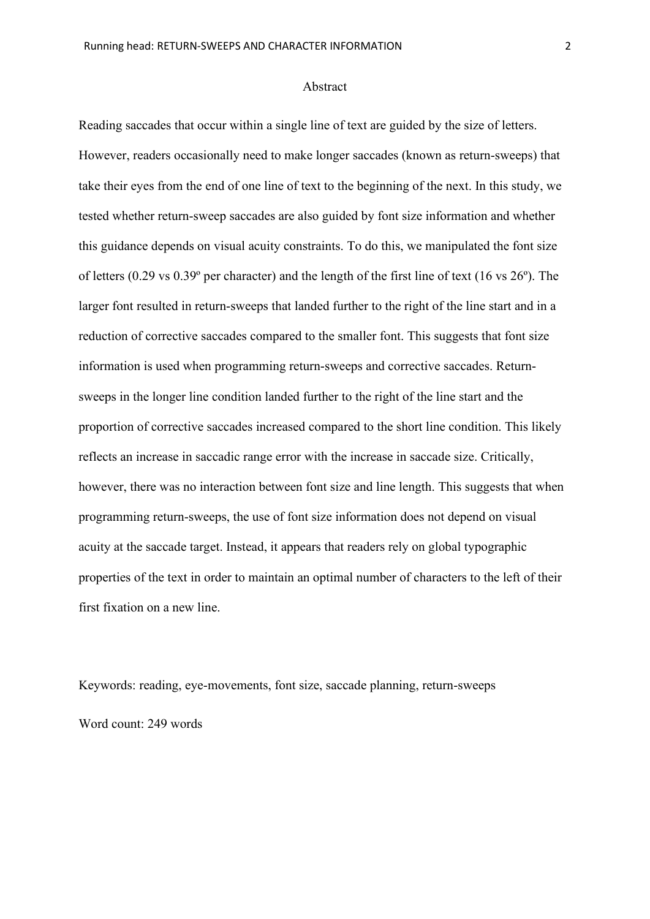#### Abstract

Reading saccades that occur within a single line of text are guided by the size of letters. However, readers occasionally need to make longer saccades (known as return-sweeps) that take their eyes from the end of one line of text to the beginning of the next. In this study, we tested whether return-sweep saccades are also guided by font size information and whether this guidance depends on visual acuity constraints. To do this, we manipulated the font size of letters (0.29 vs 0.39º per character) and the length of the first line of text (16 vs 26º). The larger font resulted in return-sweeps that landed further to the right of the line start and in a reduction of corrective saccades compared to the smaller font. This suggests that font size information is used when programming return-sweeps and corrective saccades. Returnsweeps in the longer line condition landed further to the right of the line start and the proportion of corrective saccades increased compared to the short line condition. This likely reflects an increase in saccadic range error with the increase in saccade size. Critically, however, there was no interaction between font size and line length. This suggests that when programming return-sweeps, the use of font size information does not depend on visual acuity at the saccade target. Instead, it appears that readers rely on global typographic properties of the text in order to maintain an optimal number of characters to the left of their first fixation on a new line.

Keywords: reading, eye-movements, font size, saccade planning, return-sweeps Word count: 249 words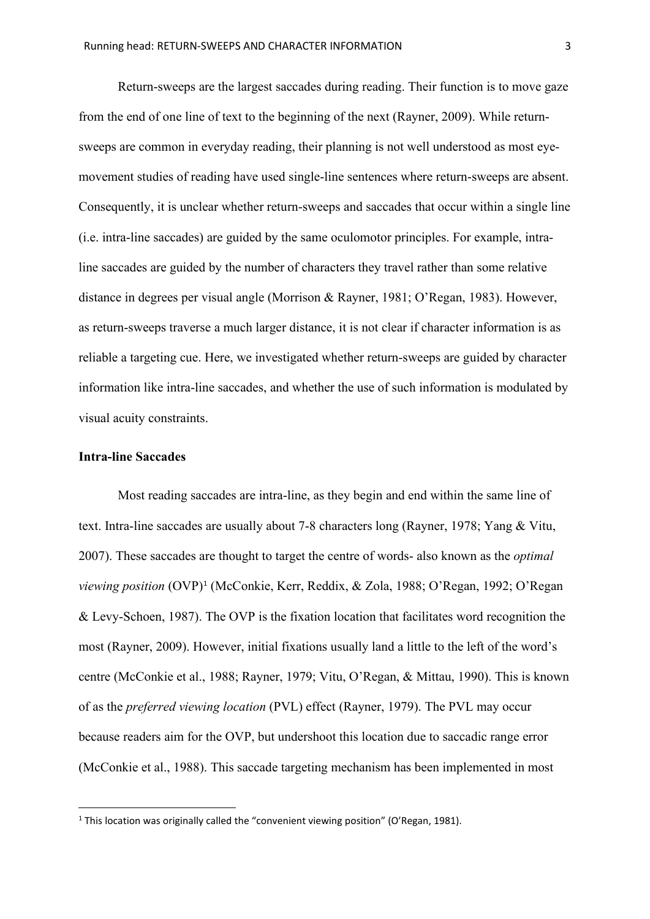Return-sweeps are the largest saccades during reading. Their function is to move gaze from the end of one line of text to the beginning of the next (Rayner, 2009). While returnsweeps are common in everyday reading, their planning is not well understood as most eyemovement studies of reading have used single-line sentences where return-sweeps are absent. Consequently, it is unclear whether return-sweeps and saccades that occur within a single line (i.e. intra-line saccades) are guided by the same oculomotor principles. For example, intraline saccades are guided by the number of characters they travel rather than some relative distance in degrees per visual angle (Morrison & Rayner, 1981; O'Regan, 1983). However, as return-sweeps traverse a much larger distance, it is not clear if character information is as reliable a targeting cue. Here, we investigated whether return-sweeps are guided by character information like intra-line saccades, and whether the use of such information is modulated by visual acuity constraints.

#### **Intra-line Saccades**

Most reading saccades are intra-line, as they begin and end within the same line of text. Intra-line saccades are usually about 7-8 characters long (Rayner, 1978; Yang & Vitu, 2007). These saccades are thought to target the centre of words- also known as the *optimal viewing position* (OVP)[1](#page-2-0) (McConkie, Kerr, Reddix, & Zola, 1988; O'Regan, 1992; O'Regan & Levy-Schoen, 1987). The OVP is the fixation location that facilitates word recognition the most (Rayner, 2009). However, initial fixations usually land a little to the left of the word's centre (McConkie et al., 1988; Rayner, 1979; Vitu, O'Regan, & Mittau, 1990). This is known of as the *preferred viewing location* (PVL) effect (Rayner, 1979). The PVL may occur because readers aim for the OVP, but undershoot this location due to saccadic range error (McConkie et al., 1988). This saccade targeting mechanism has been implemented in most

<span id="page-2-0"></span> $1$  This location was originally called the "convenient viewing position" (O'Regan, 1981).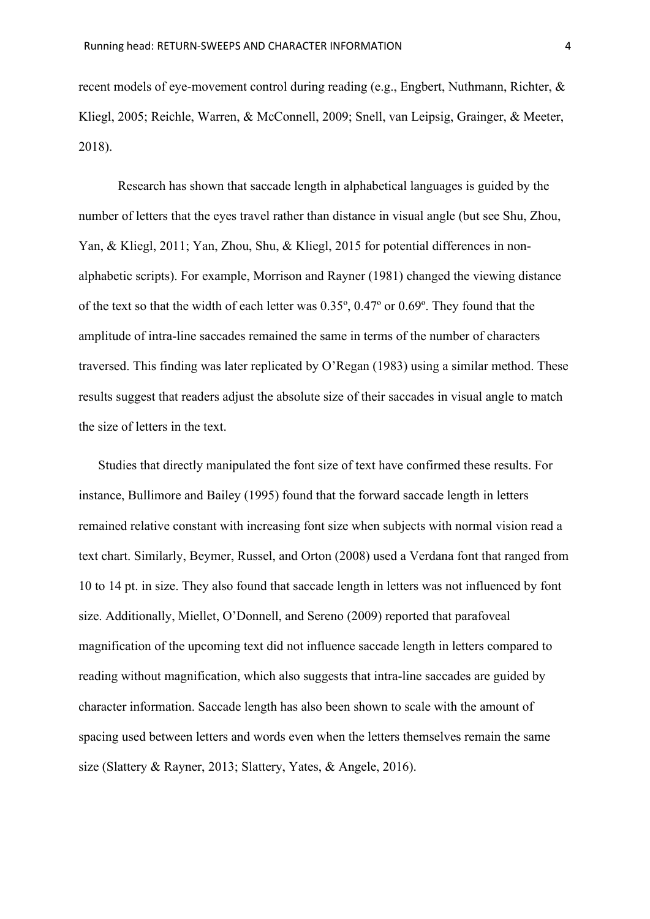recent models of eye-movement control during reading (e.g., Engbert, Nuthmann, Richter, & Kliegl, 2005; Reichle, Warren, & McConnell, 2009; Snell, van Leipsig, Grainger, & Meeter, 2018).

Research has shown that saccade length in alphabetical languages is guided by the number of letters that the eyes travel rather than distance in visual angle (but see Shu, Zhou, Yan, & Kliegl, 2011; Yan, Zhou, Shu, & Kliegl, 2015 for potential differences in nonalphabetic scripts). For example, Morrison and Rayner (1981) changed the viewing distance of the text so that the width of each letter was 0.35º, 0.47º or 0.69º. They found that the amplitude of intra-line saccades remained the same in terms of the number of characters traversed. This finding was later replicated by O'Regan (1983) using a similar method. These results suggest that readers adjust the absolute size of their saccades in visual angle to match the size of letters in the text.

Studies that directly manipulated the font size of text have confirmed these results. For instance, Bullimore and Bailey (1995) found that the forward saccade length in letters remained relative constant with increasing font size when subjects with normal vision read a text chart. Similarly, Beymer, Russel, and Orton (2008) used a Verdana font that ranged from 10 to 14 pt. in size. They also found that saccade length in letters was not influenced by font size. Additionally, Miellet, O'Donnell, and Sereno (2009) reported that parafoveal magnification of the upcoming text did not influence saccade length in letters compared to reading without magnification, which also suggests that intra-line saccades are guided by character information. Saccade length has also been shown to scale with the amount of spacing used between letters and words even when the letters themselves remain the same size (Slattery & Rayner, 2013; Slattery, Yates, & Angele, 2016).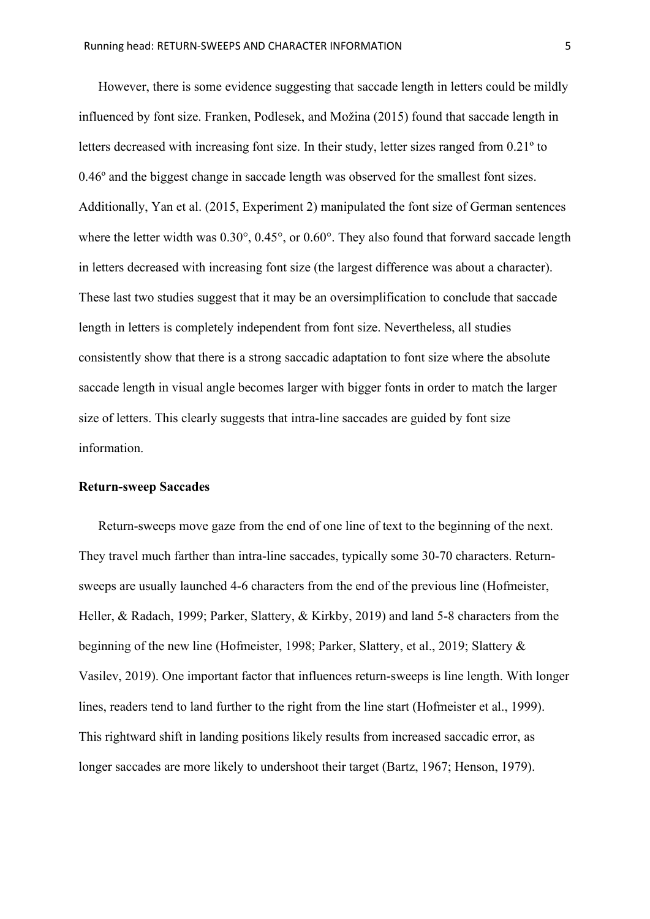However, there is some evidence suggesting that saccade length in letters could be mildly influenced by font size. Franken, Podlesek, and Možina (2015) found that saccade length in letters decreased with increasing font size. In their study, letter sizes ranged from 0.21º to 0.46º and the biggest change in saccade length was observed for the smallest font sizes. Additionally, Yan et al. (2015, Experiment 2) manipulated the font size of German sentences where the letter width was  $0.30^{\circ}$ ,  $0.45^{\circ}$ , or  $0.60^{\circ}$ . They also found that forward saccade length in letters decreased with increasing font size (the largest difference was about a character). These last two studies suggest that it may be an oversimplification to conclude that saccade length in letters is completely independent from font size. Nevertheless, all studies consistently show that there is a strong saccadic adaptation to font size where the absolute saccade length in visual angle becomes larger with bigger fonts in order to match the larger size of letters. This clearly suggests that intra-line saccades are guided by font size information.

#### **Return-sweep Saccades**

Return-sweeps move gaze from the end of one line of text to the beginning of the next. They travel much farther than intra-line saccades, typically some 30-70 characters. Returnsweeps are usually launched 4-6 characters from the end of the previous line (Hofmeister, Heller, & Radach, 1999; Parker, Slattery, & Kirkby, 2019) and land 5-8 characters from the beginning of the new line (Hofmeister, 1998; Parker, Slattery, et al., 2019; Slattery & Vasilev, 2019). One important factor that influences return-sweeps is line length. With longer lines, readers tend to land further to the right from the line start (Hofmeister et al., 1999). This rightward shift in landing positions likely results from increased saccadic error, as longer saccades are more likely to undershoot their target (Bartz, 1967; Henson, 1979).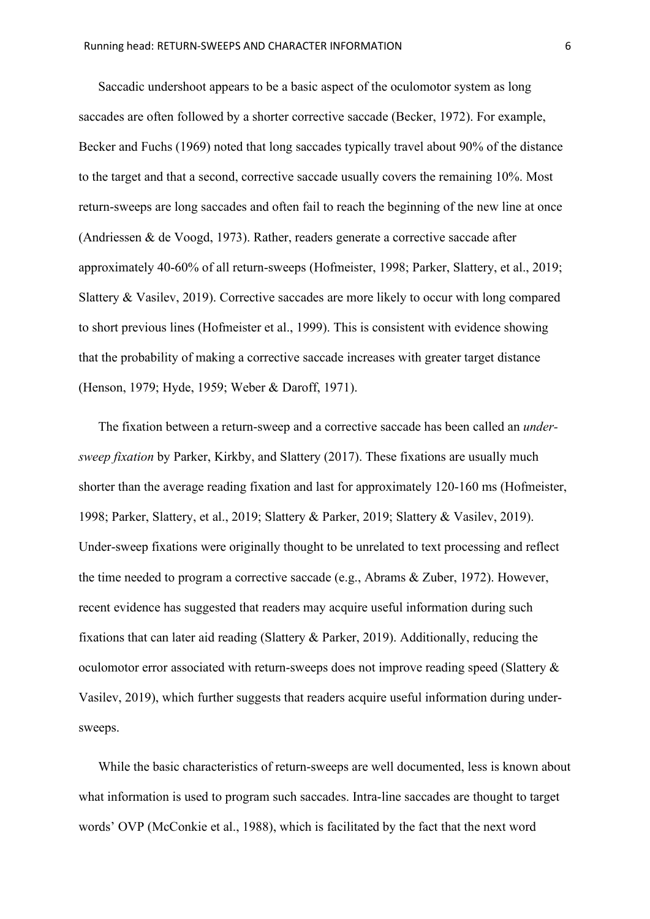Saccadic undershoot appears to be a basic aspect of the oculomotor system as long saccades are often followed by a shorter corrective saccade (Becker, 1972). For example, Becker and Fuchs (1969) noted that long saccades typically travel about 90% of the distance to the target and that a second, corrective saccade usually covers the remaining 10%. Most return-sweeps are long saccades and often fail to reach the beginning of the new line at once (Andriessen & de Voogd, 1973). Rather, readers generate a corrective saccade after approximately 40-60% of all return-sweeps (Hofmeister, 1998; Parker, Slattery, et al., 2019; Slattery & Vasilev, 2019). Corrective saccades are more likely to occur with long compared to short previous lines (Hofmeister et al., 1999). This is consistent with evidence showing that the probability of making a corrective saccade increases with greater target distance (Henson, 1979; Hyde, 1959; Weber & Daroff, 1971).

The fixation between a return-sweep and a corrective saccade has been called an *undersweep fixation* by Parker, Kirkby, and Slattery (2017). These fixations are usually much shorter than the average reading fixation and last for approximately 120-160 ms (Hofmeister, 1998; Parker, Slattery, et al., 2019; Slattery & Parker, 2019; Slattery & Vasilev, 2019). Under-sweep fixations were originally thought to be unrelated to text processing and reflect the time needed to program a corrective saccade (e.g., Abrams & Zuber, 1972). However, recent evidence has suggested that readers may acquire useful information during such fixations that can later aid reading (Slattery & Parker, 2019). Additionally, reducing the oculomotor error associated with return-sweeps does not improve reading speed (Slattery & Vasilev, 2019), which further suggests that readers acquire useful information during undersweeps.

While the basic characteristics of return-sweeps are well documented, less is known about what information is used to program such saccades. Intra-line saccades are thought to target words' OVP (McConkie et al., 1988), which is facilitated by the fact that the next word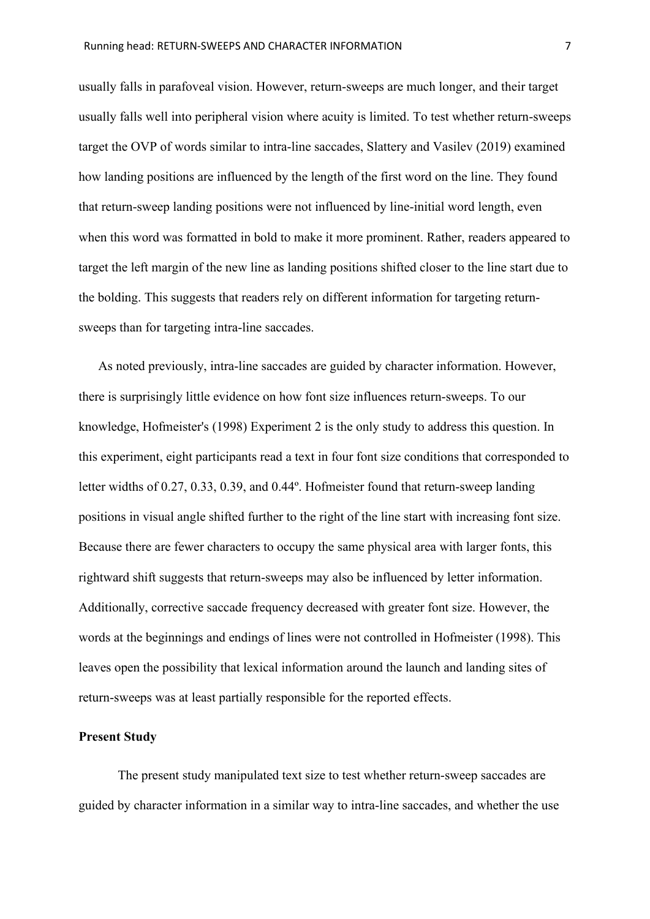usually falls in parafoveal vision. However, return-sweeps are much longer, and their target usually falls well into peripheral vision where acuity is limited. To test whether return-sweeps target the OVP of words similar to intra-line saccades, Slattery and Vasilev (2019) examined how landing positions are influenced by the length of the first word on the line. They found that return-sweep landing positions were not influenced by line-initial word length, even when this word was formatted in bold to make it more prominent. Rather, readers appeared to target the left margin of the new line as landing positions shifted closer to the line start due to the bolding. This suggests that readers rely on different information for targeting returnsweeps than for targeting intra-line saccades.

As noted previously, intra-line saccades are guided by character information. However, there is surprisingly little evidence on how font size influences return-sweeps. To our knowledge, Hofmeister's (1998) Experiment 2 is the only study to address this question. In this experiment, eight participants read a text in four font size conditions that corresponded to letter widths of 0.27, 0.33, 0.39, and 0.44º. Hofmeister found that return-sweep landing positions in visual angle shifted further to the right of the line start with increasing font size. Because there are fewer characters to occupy the same physical area with larger fonts, this rightward shift suggests that return-sweeps may also be influenced by letter information. Additionally, corrective saccade frequency decreased with greater font size. However, the words at the beginnings and endings of lines were not controlled in Hofmeister (1998). This leaves open the possibility that lexical information around the launch and landing sites of return-sweeps was at least partially responsible for the reported effects.

#### **Present Study**

The present study manipulated text size to test whether return-sweep saccades are guided by character information in a similar way to intra-line saccades, and whether the use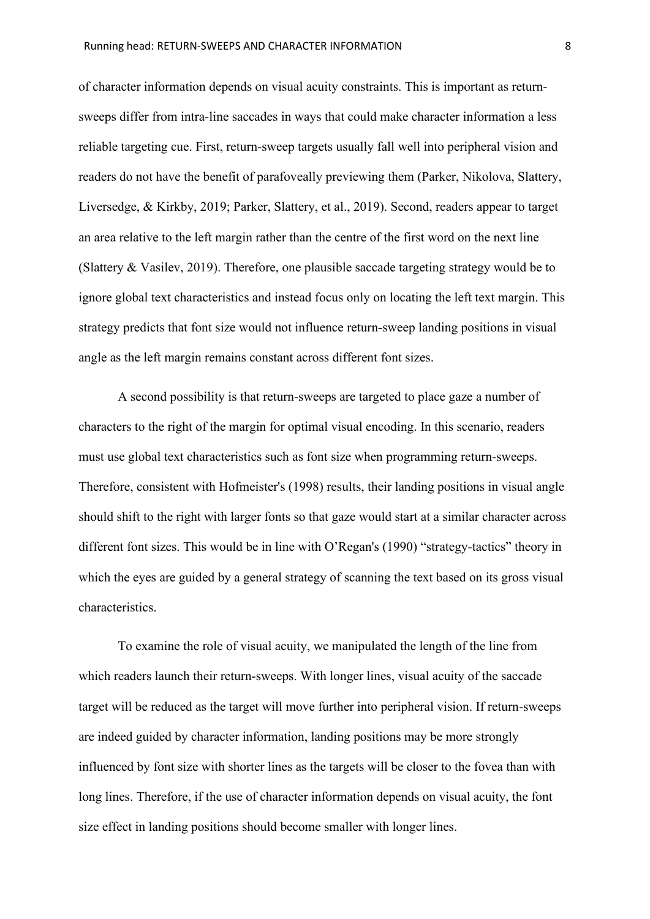of character information depends on visual acuity constraints. This is important as returnsweeps differ from intra-line saccades in ways that could make character information a less reliable targeting cue. First, return-sweep targets usually fall well into peripheral vision and readers do not have the benefit of parafoveally previewing them (Parker, Nikolova, Slattery, Liversedge, & Kirkby, 2019; Parker, Slattery, et al., 2019). Second, readers appear to target an area relative to the left margin rather than the centre of the first word on the next line (Slattery & Vasilev, 2019). Therefore, one plausible saccade targeting strategy would be to ignore global text characteristics and instead focus only on locating the left text margin. This strategy predicts that font size would not influence return-sweep landing positions in visual angle as the left margin remains constant across different font sizes.

A second possibility is that return-sweeps are targeted to place gaze a number of characters to the right of the margin for optimal visual encoding. In this scenario, readers must use global text characteristics such as font size when programming return-sweeps. Therefore, consistent with Hofmeister's (1998) results, their landing positions in visual angle should shift to the right with larger fonts so that gaze would start at a similar character across different font sizes. This would be in line with O'Regan's (1990) "strategy-tactics" theory in which the eyes are guided by a general strategy of scanning the text based on its gross visual characteristics.

To examine the role of visual acuity, we manipulated the length of the line from which readers launch their return-sweeps. With longer lines, visual acuity of the saccade target will be reduced as the target will move further into peripheral vision. If return-sweeps are indeed guided by character information, landing positions may be more strongly influenced by font size with shorter lines as the targets will be closer to the fovea than with long lines. Therefore, if the use of character information depends on visual acuity, the font size effect in landing positions should become smaller with longer lines.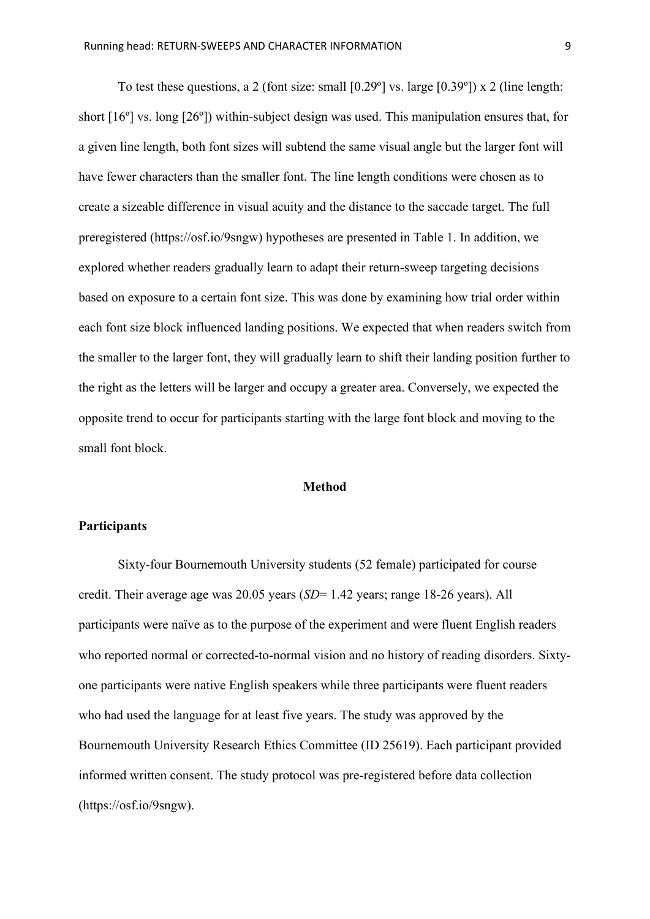To test these questions, a 2 (font size: small [0.29º] vs. large [0.39º]) x 2 (line length: short [16º] vs. long [26º]) within-subject design was used. This manipulation ensures that, for a given line length, both font sizes will subtend the same visual angle but the larger font will have fewer characters than the smaller font. The line length conditions were chosen as to create a sizeable difference in visual acuity and the distance to the saccade target. The full preregistered (https://osf.io/9sngw) hypotheses are presented in Table 1. In addition, we explored whether readers gradually learn to adapt their return-sweep targeting decisions based on exposure to a certain font size. This was done by examining how trial order within each font size block influenced landing positions. We expected that when readers switch from the smaller to the larger font, they will gradually learn to shift their landing position further to the right as the letters will be larger and occupy a greater area. Conversely, we expected the opposite trend to occur for participants starting with the large font block and moving to the small font block.

#### **Method**

#### **Participants**

Sixty-four Bournemouth University students (52 female) participated for course credit. Their average age was 20.05 years (*SD*= 1.42 years; range 18-26 years). All participants were naïve as to the purpose of the experiment and were fluent English readers who reported normal or corrected-to-normal vision and no history of reading disorders. Sixtyone participants were native English speakers while three participants were fluent readers who had used the language for at least five years. The study was approved by the Bournemouth University Research Ethics Committee (ID 25619). Each participant provided informed written consent. The study protocol was pre-registered before data collection (https://osf.io/9sngw).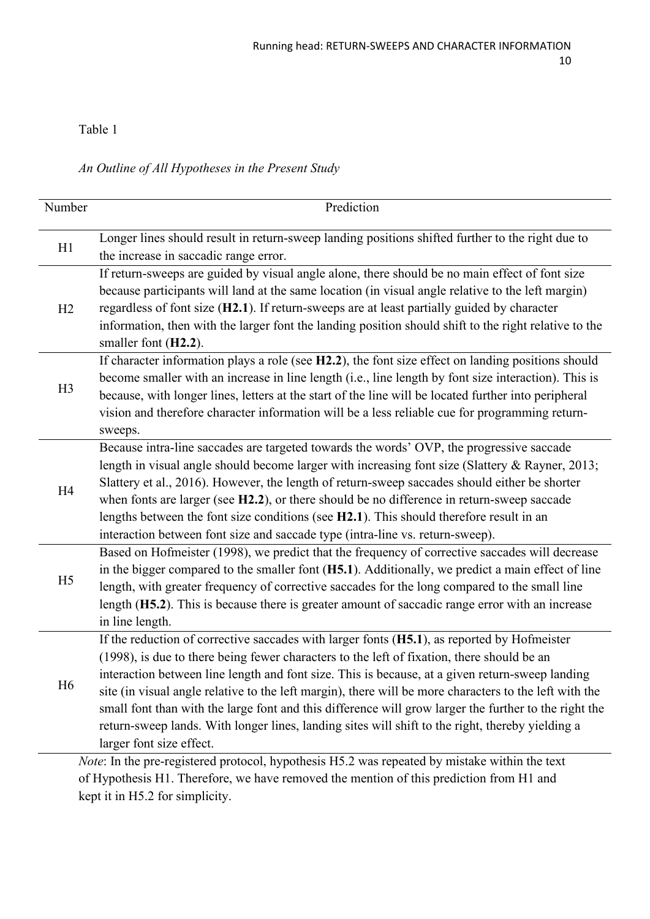# Table 1

*An Outline of All Hypotheses in the Present Study*

| Number                                                                                        | Prediction                                                                                             |  |  |  |
|-----------------------------------------------------------------------------------------------|--------------------------------------------------------------------------------------------------------|--|--|--|
|                                                                                               |                                                                                                        |  |  |  |
| H1                                                                                            | Longer lines should result in return-sweep landing positions shifted further to the right due to       |  |  |  |
|                                                                                               | the increase in saccadic range error.                                                                  |  |  |  |
|                                                                                               | If return-sweeps are guided by visual angle alone, there should be no main effect of font size         |  |  |  |
|                                                                                               | because participants will land at the same location (in visual angle relative to the left margin)      |  |  |  |
| H2                                                                                            | regardless of font size (H2.1). If return-sweeps are at least partially guided by character            |  |  |  |
|                                                                                               | information, then with the larger font the landing position should shift to the right relative to the  |  |  |  |
|                                                                                               | smaller font (H2.2).                                                                                   |  |  |  |
| H <sub>3</sub>                                                                                | If character information plays a role (see H2.2), the font size effect on landing positions should     |  |  |  |
|                                                                                               | become smaller with an increase in line length (i.e., line length by font size interaction). This is   |  |  |  |
|                                                                                               | because, with longer lines, letters at the start of the line will be located further into peripheral   |  |  |  |
|                                                                                               | vision and therefore character information will be a less reliable cue for programming return-         |  |  |  |
|                                                                                               | sweeps.                                                                                                |  |  |  |
|                                                                                               | Because intra-line saccades are targeted towards the words' OVP, the progressive saccade               |  |  |  |
|                                                                                               | length in visual angle should become larger with increasing font size (Slattery & Rayner, 2013;        |  |  |  |
| H <sub>4</sub>                                                                                | Slattery et al., 2016). However, the length of return-sweep saccades should either be shorter          |  |  |  |
|                                                                                               | when fonts are larger (see H2.2), or there should be no difference in return-sweep saccade             |  |  |  |
|                                                                                               | lengths between the font size conditions (see H2.1). This should therefore result in an                |  |  |  |
|                                                                                               | interaction between font size and saccade type (intra-line vs. return-sweep).                          |  |  |  |
|                                                                                               | Based on Hofmeister (1998), we predict that the frequency of corrective saccades will decrease         |  |  |  |
| H <sub>5</sub>                                                                                | in the bigger compared to the smaller font $(H5.1)$ . Additionally, we predict a main effect of line   |  |  |  |
|                                                                                               | length, with greater frequency of corrective saccades for the long compared to the small line          |  |  |  |
|                                                                                               | length (H5.2). This is because there is greater amount of saccadic range error with an increase        |  |  |  |
|                                                                                               | in line length.                                                                                        |  |  |  |
|                                                                                               | If the reduction of corrective saccades with larger fonts $(H5.1)$ , as reported by Hofmeister         |  |  |  |
|                                                                                               | (1998), is due to there being fewer characters to the left of fixation, there should be an             |  |  |  |
| H <sub>6</sub>                                                                                | interaction between line length and font size. This is because, at a given return-sweep landing        |  |  |  |
|                                                                                               | site (in visual angle relative to the left margin), there will be more characters to the left with the |  |  |  |
|                                                                                               | small font than with the large font and this difference will grow larger the further to the right the  |  |  |  |
|                                                                                               | return-sweep lands. With longer lines, landing sites will shift to the right, thereby yielding a       |  |  |  |
|                                                                                               | larger font size effect.                                                                               |  |  |  |
| Note: In the pre-registered protocol, hypothesis H5.2 was repeated by mistake within the text |                                                                                                        |  |  |  |

of Hypothesis H1. Therefore, we have removed the mention of this prediction from H1 and kept it in H5.2 for simplicity.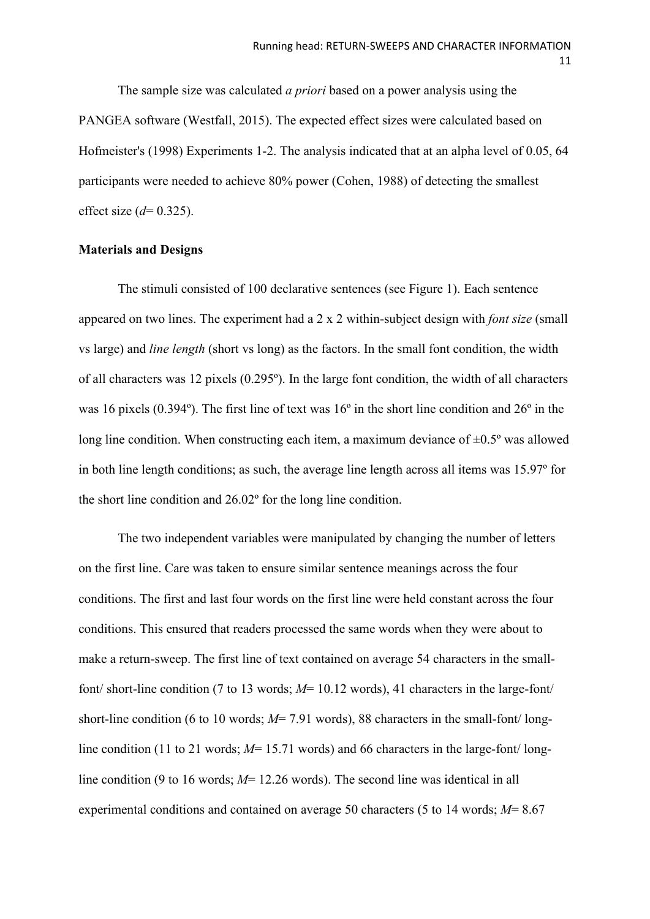The sample size was calculated *a priori* based on a power analysis using the PANGEA software (Westfall, 2015). The expected effect sizes were calculated based on Hofmeister's (1998) Experiments 1-2. The analysis indicated that at an alpha level of 0.05, 64 participants were needed to achieve 80% power (Cohen, 1988) of detecting the smallest effect size (*d*= 0.325).

#### **Materials and Designs**

The stimuli consisted of 100 declarative sentences (see Figure 1). Each sentence appeared on two lines. The experiment had a 2 x 2 within-subject design with *font size* (small vs large) and *line length* (short vs long) as the factors. In the small font condition, the width of all characters was 12 pixels (0.295º). In the large font condition, the width of all characters was 16 pixels (0.394º). The first line of text was 16º in the short line condition and 26º in the long line condition. When constructing each item, a maximum deviance of  $\pm 0.5^{\circ}$  was allowed in both line length conditions; as such, the average line length across all items was 15.97º for the short line condition and 26.02º for the long line condition.

The two independent variables were manipulated by changing the number of letters on the first line. Care was taken to ensure similar sentence meanings across the four conditions. The first and last four words on the first line were held constant across the four conditions. This ensured that readers processed the same words when they were about to make a return-sweep. The first line of text contained on average 54 characters in the smallfont/ short-line condition (7 to 13 words; *M*= 10.12 words), 41 characters in the large-font/ short-line condition (6 to 10 words; *M*= 7.91 words), 88 characters in the small-font/ longline condition (11 to 21 words;  $M= 15.71$  words) and 66 characters in the large-font/longline condition (9 to 16 words; *M*= 12.26 words). The second line was identical in all experimental conditions and contained on average 50 characters (5 to 14 words; *M*= 8.67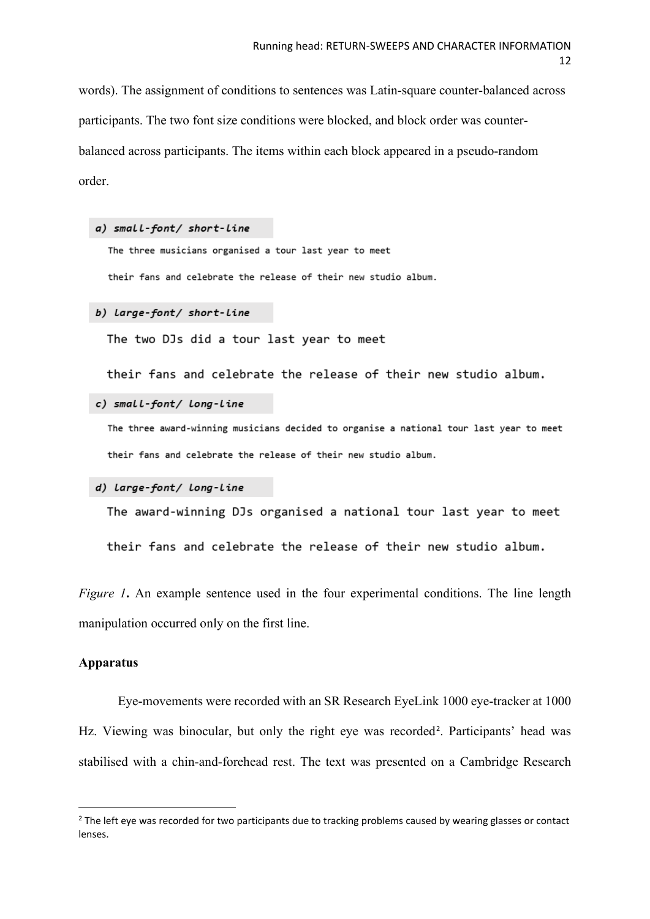words). The assignment of conditions to sentences was Latin-square counter-balanced across participants. The two font size conditions were blocked, and block order was counterbalanced across participants. The items within each block appeared in a pseudo-random order.

```
a) small-font/ short-line
```
The three musicians organised a tour last year to meet their fans and celebrate the release of their new studio album.

```
b) Large-font/ short-Line
```
The two DJs did a tour last year to meet

their fans and celebrate the release of their new studio album.

c) small-font/ long-line

The three award-winning musicians decided to organise a national tour last year to meet their fans and celebrate the release of their new studio album.

#### d) Large-font/ Long-Line

The award-winning DJs organised a national tour last year to meet

their fans and celebrate the release of their new studio album.

*Figure* 1. An example sentence used in the four experimental conditions. The line length manipulation occurred only on the first line.

# **Apparatus**

Eye-movements were recorded with an SR Research EyeLink 1000 eye-tracker at 1000 Hz. Viewing was binocular, but only the right eye was recorded<sup>[2](#page-11-0)</sup>. Participants' head was stabilised with a chin-and-forehead rest. The text was presented on a Cambridge Research

<span id="page-11-0"></span><sup>&</sup>lt;sup>2</sup> The left eye was recorded for two participants due to tracking problems caused by wearing glasses or contact lenses.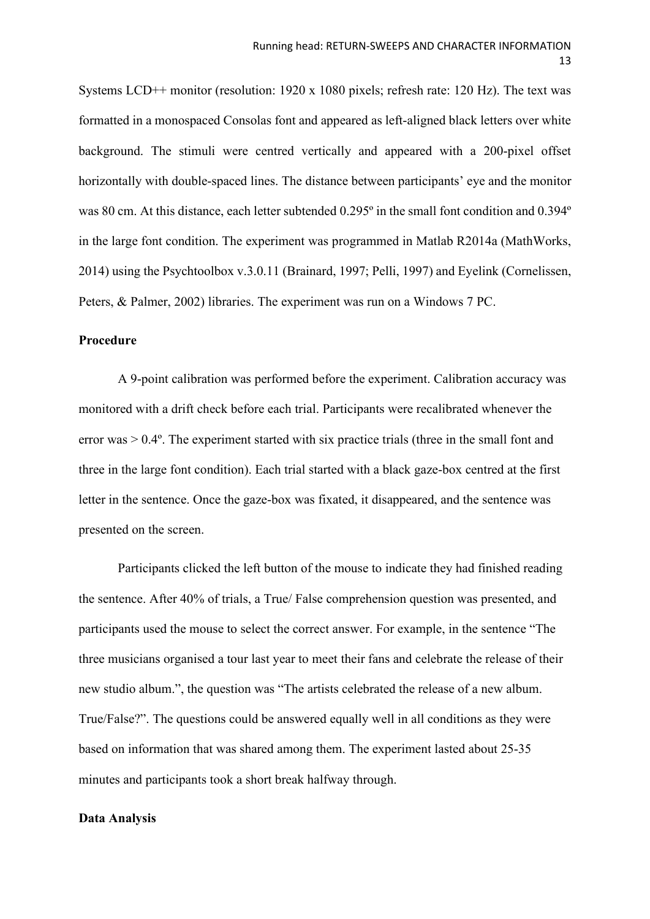Systems LCD++ monitor (resolution: 1920 x 1080 pixels; refresh rate: 120 Hz). The text was formatted in a monospaced Consolas font and appeared as left-aligned black letters over white background. The stimuli were centred vertically and appeared with a 200-pixel offset horizontally with double-spaced lines. The distance between participants' eye and the monitor was 80 cm. At this distance, each letter subtended 0.295º in the small font condition and 0.394º in the large font condition. The experiment was programmed in Matlab R2014a (MathWorks, 2014) using the Psychtoolbox v.3.0.11 (Brainard, 1997; Pelli, 1997) and Eyelink (Cornelissen, Peters, & Palmer, 2002) libraries. The experiment was run on a Windows 7 PC.

# **Procedure**

A 9-point calibration was performed before the experiment. Calibration accuracy was monitored with a drift check before each trial. Participants were recalibrated whenever the error was > 0.4º. The experiment started with six practice trials (three in the small font and three in the large font condition). Each trial started with a black gaze-box centred at the first letter in the sentence. Once the gaze-box was fixated, it disappeared, and the sentence was presented on the screen.

Participants clicked the left button of the mouse to indicate they had finished reading the sentence. After 40% of trials, a True/ False comprehension question was presented, and participants used the mouse to select the correct answer. For example, in the sentence "The three musicians organised a tour last year to meet their fans and celebrate the release of their new studio album.", the question was "The artists celebrated the release of a new album. True/False?". The questions could be answered equally well in all conditions as they were based on information that was shared among them. The experiment lasted about 25-35 minutes and participants took a short break halfway through.

#### **Data Analysis**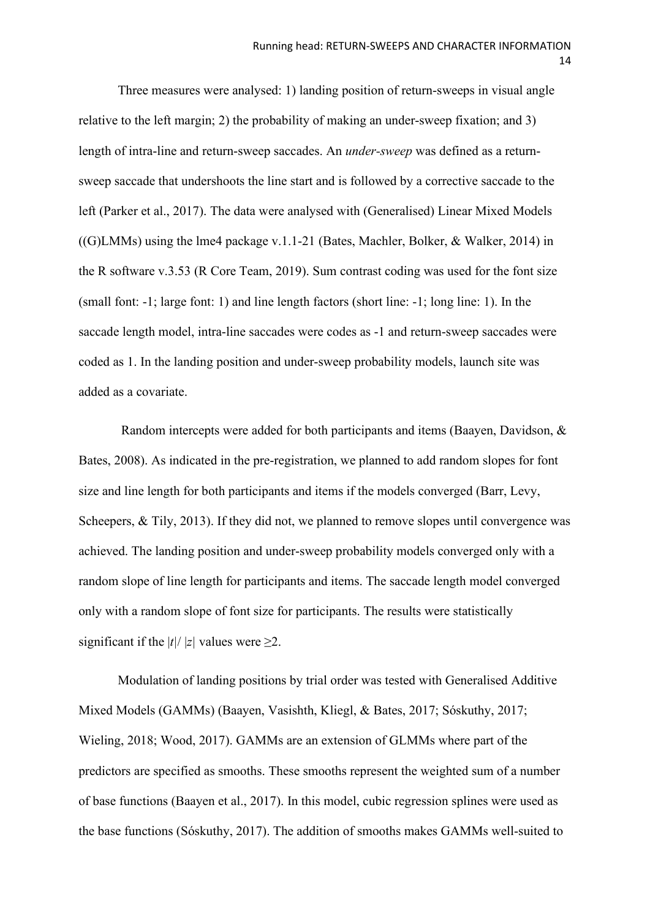Three measures were analysed: 1) landing position of return-sweeps in visual angle relative to the left margin; 2) the probability of making an under-sweep fixation; and 3) length of intra-line and return-sweep saccades. An *under-sweep* was defined as a returnsweep saccade that undershoots the line start and is followed by a corrective saccade to the left (Parker et al., 2017). The data were analysed with (Generalised) Linear Mixed Models ((G)LMMs) using the lme4 package v.1.1-21 (Bates, Machler, Bolker, & Walker, 2014) in the R software v.3.53 (R Core Team, 2019). Sum contrast coding was used for the font size (small font: -1; large font: 1) and line length factors (short line: -1; long line: 1). In the saccade length model, intra-line saccades were codes as -1 and return-sweep saccades were coded as 1. In the landing position and under-sweep probability models, launch site was added as a covariate.

Random intercepts were added for both participants and items (Baayen, Davidson, & Bates, 2008). As indicated in the pre-registration, we planned to add random slopes for font size and line length for both participants and items if the models converged (Barr, Levy, Scheepers, & Tily, 2013). If they did not, we planned to remove slopes until convergence was achieved. The landing position and under-sweep probability models converged only with a random slope of line length for participants and items. The saccade length model converged only with a random slope of font size for participants. The results were statistically significant if the  $|t|/|z|$  values were >2.

Modulation of landing positions by trial order was tested with Generalised Additive Mixed Models (GAMMs) (Baayen, Vasishth, Kliegl, & Bates, 2017; Sóskuthy, 2017; Wieling, 2018; Wood, 2017). GAMMs are an extension of GLMMs where part of the predictors are specified as smooths. These smooths represent the weighted sum of a number of base functions (Baayen et al., 2017). In this model, cubic regression splines were used as the base functions (Sóskuthy, 2017). The addition of smooths makes GAMMs well-suited to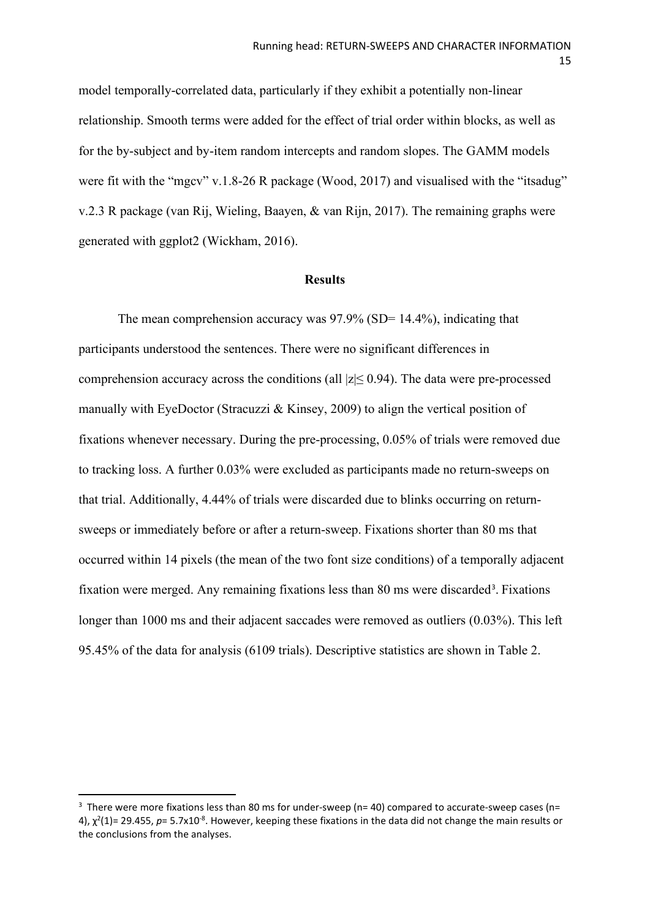model temporally-correlated data, particularly if they exhibit a potentially non-linear relationship. Smooth terms were added for the effect of trial order within blocks, as well as for the by-subject and by-item random intercepts and random slopes. The GAMM models were fit with the "mgcv" v.1.8-26 R package (Wood, 2017) and visualised with the "itsadug" v.2.3 R package (van Rij, Wieling, Baayen, & van Rijn, 2017). The remaining graphs were generated with ggplot2 (Wickham, 2016).

#### **Results**

The mean comprehension accuracy was  $97.9\%$  (SD= 14.4%), indicating that participants understood the sentences. There were no significant differences in comprehension accuracy across the conditions (all  $|z| \leq 0.94$ ). The data were pre-processed manually with EyeDoctor (Stracuzzi & Kinsey, 2009) to align the vertical position of fixations whenever necessary. During the pre-processing, 0.05% of trials were removed due to tracking loss. A further 0.03% were excluded as participants made no return-sweeps on that trial. Additionally, 4.44% of trials were discarded due to blinks occurring on returnsweeps or immediately before or after a return-sweep. Fixations shorter than 80 ms that occurred within 14 pixels (the mean of the two font size conditions) of a temporally adjacent fixation were merged. Any remaining fixations less than 80 ms were discarded<sup>[3](#page-14-0)</sup>. Fixations longer than 1000 ms and their adjacent saccades were removed as outliers (0.03%). This left 95.45% of the data for analysis (6109 trials). Descriptive statistics are shown in Table 2.

<span id="page-14-0"></span> $3$  There were more fixations less than 80 ms for under-sweep (n= 40) compared to accurate-sweep cases (n= 4),  $\chi^2(1)$ = 29.455, p= 5.7x10<sup>-8</sup>. However, keeping these fixations in the data did not change the main results or the conclusions from the analyses.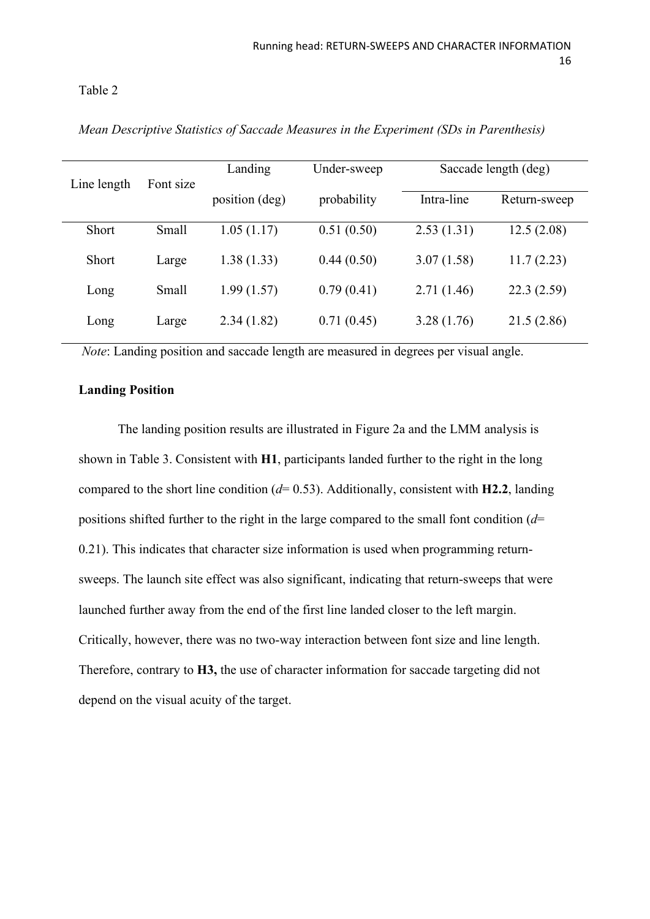## Table 2

| Line length | Font size | Landing        | Under-sweep | Saccade length (deg) |              |
|-------------|-----------|----------------|-------------|----------------------|--------------|
|             |           | position (deg) | probability | Intra-line           | Return-sweep |
| Short       | Small     | 1.05(1.17)     | 0.51(0.50)  | 2.53(1.31)           | 12.5(2.08)   |
| Short       | Large     | 1.38(1.33)     | 0.44(0.50)  | 3.07(1.58)           | 11.7(2.23)   |
| Long        | Small     | 1.99(1.57)     | 0.79(0.41)  | 2.71(1.46)           | 22.3(2.59)   |
| Long        | Large     | 2.34(1.82)     | 0.71(0.45)  | 3.28(1.76)           | 21.5(2.86)   |

*Mean Descriptive Statistics of Saccade Measures in the Experiment (SDs in Parenthesis)*

*Note*: Landing position and saccade length are measured in degrees per visual angle.

# **Landing Position**

The landing position results are illustrated in Figure 2a and the LMM analysis is shown in Table 3. Consistent with **H1**, participants landed further to the right in the long compared to the short line condition (*d*= 0.53). Additionally, consistent with **H2.2**, landing positions shifted further to the right in the large compared to the small font condition (*d*= 0.21). This indicates that character size information is used when programming returnsweeps. The launch site effect was also significant, indicating that return-sweeps that were launched further away from the end of the first line landed closer to the left margin. Critically, however, there was no two-way interaction between font size and line length. Therefore, contrary to **H3,** the use of character information for saccade targeting did not depend on the visual acuity of the target.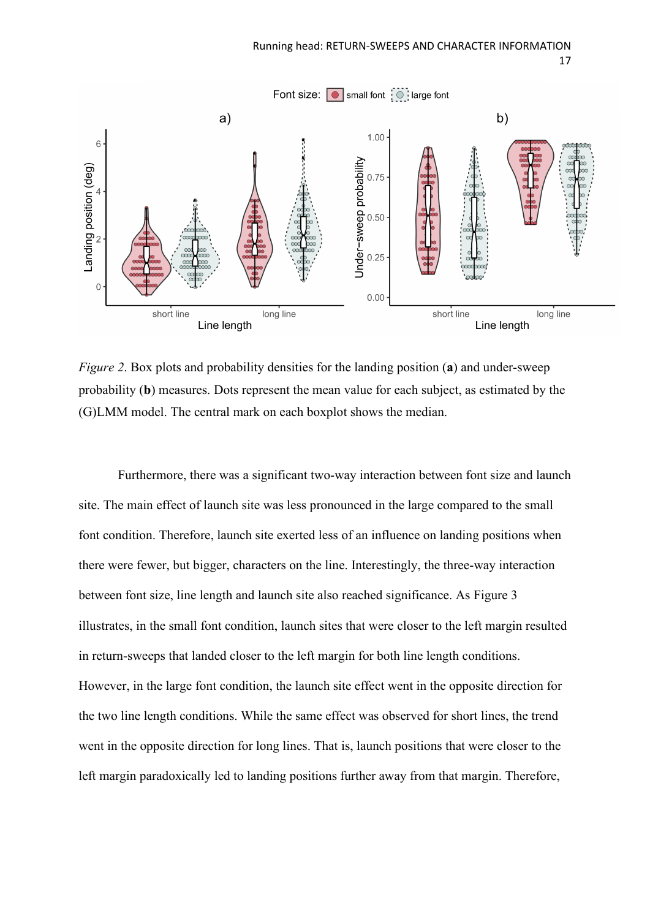

*Figure 2*. Box plots and probability densities for the landing position (**a**) and under-sweep probability (**b**) measures. Dots represent the mean value for each subject, as estimated by the (G)LMM model. The central mark on each boxplot shows the median.

Furthermore, there was a significant two-way interaction between font size and launch site. The main effect of launch site was less pronounced in the large compared to the small font condition. Therefore, launch site exerted less of an influence on landing positions when there were fewer, but bigger, characters on the line. Interestingly, the three-way interaction between font size, line length and launch site also reached significance. As Figure 3 illustrates, in the small font condition, launch sites that were closer to the left margin resulted in return-sweeps that landed closer to the left margin for both line length conditions. However, in the large font condition, the launch site effect went in the opposite direction for the two line length conditions. While the same effect was observed for short lines, the trend went in the opposite direction for long lines. That is, launch positions that were closer to the left margin paradoxically led to landing positions further away from that margin. Therefore,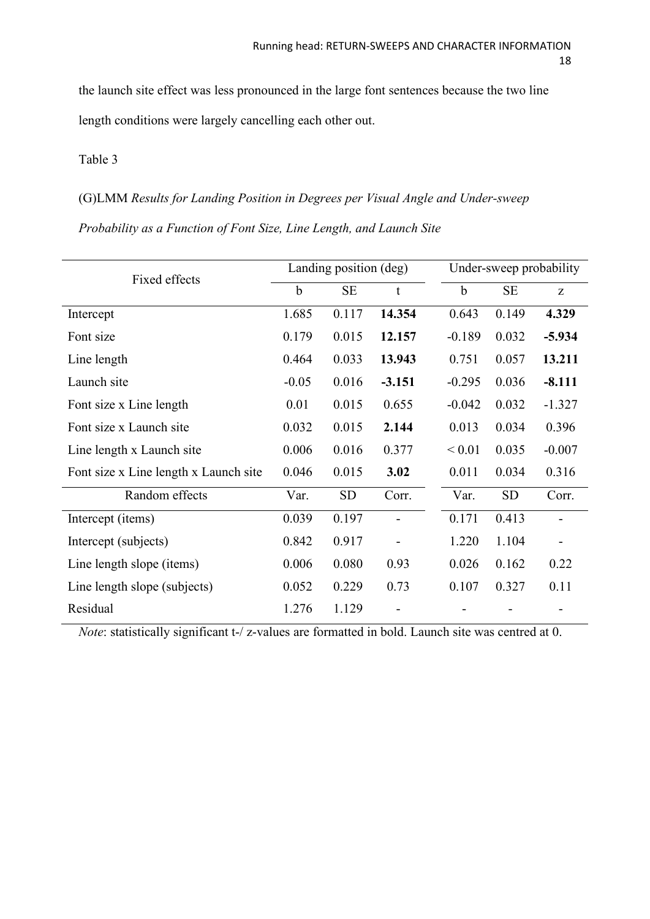the launch site effect was less pronounced in the large font sentences because the two line length conditions were largely cancelling each other out.

# Table 3

# (G)LMM *Results for Landing Position in Degrees per Visual Angle and Under-sweep*

*Probability as a Function of Font Size, Line Length, and Launch Site*

| Fixed effects                         | Landing position (deg) |           |             | Under-sweep probability |           |          |
|---------------------------------------|------------------------|-----------|-------------|-------------------------|-----------|----------|
|                                       | $\mathbf b$            | <b>SE</b> | $\mathbf t$ | $\mathbf b$             | <b>SE</b> | Z        |
| Intercept                             | 1.685                  | 0.117     | 14.354      | 0.643                   | 0.149     | 4.329    |
| Font size                             | 0.179                  | 0.015     | 12.157      | $-0.189$                | 0.032     | $-5.934$ |
| Line length                           | 0.464                  | 0.033     | 13.943      | 0.751                   | 0.057     | 13.211   |
| Launch site                           | $-0.05$                | 0.016     | $-3.151$    | $-0.295$                | 0.036     | $-8.111$ |
| Font size x Line length               | 0.01                   | 0.015     | 0.655       | $-0.042$                | 0.032     | $-1.327$ |
| Font size x Launch site               | 0.032                  | 0.015     | 2.144       | 0.013                   | 0.034     | 0.396    |
| Line length x Launch site             | 0.006                  | 0.016     | 0.377       | ${}_{0.01}$             | 0.035     | $-0.007$ |
| Font size x Line length x Launch site | 0.046                  | 0.015     | 3.02        | 0.011                   | 0.034     | 0.316    |
| Random effects                        | Var.                   | <b>SD</b> | Corr.       | Var.                    | <b>SD</b> | Corr.    |
| Intercept (items)                     | 0.039                  | 0.197     |             | 0.171                   | 0.413     |          |
| Intercept (subjects)                  | 0.842                  | 0.917     |             | 1.220                   | 1.104     |          |
| Line length slope (items)             | 0.006                  | 0.080     | 0.93        | 0.026                   | 0.162     | 0.22     |
| Line length slope (subjects)          | 0.052                  | 0.229     | 0.73        | 0.107                   | 0.327     | 0.11     |
| Residual                              | 1.276                  | 1.129     |             |                         |           |          |

*Note*: statistically significant t-/ z-values are formatted in bold. Launch site was centred at 0.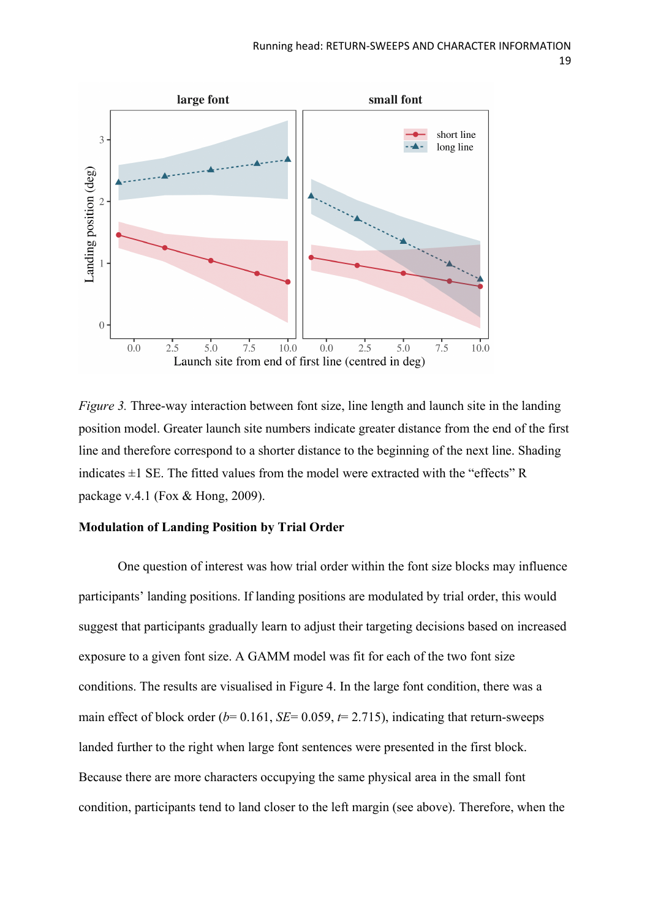

*Figure* 3. Three-way interaction between font size, line length and launch site in the landing position model. Greater launch site numbers indicate greater distance from the end of the first line and therefore correspond to a shorter distance to the beginning of the next line. Shading indicates  $\pm 1$  SE. The fitted values from the model were extracted with the "effects" R package v.4.1 (Fox & Hong, 2009).

### **Modulation of Landing Position by Trial Order**

One question of interest was how trial order within the font size blocks may influence participants' landing positions. If landing positions are modulated by trial order, this would suggest that participants gradually learn to adjust their targeting decisions based on increased exposure to a given font size. A GAMM model was fit for each of the two font size conditions. The results are visualised in Figure 4. In the large font condition, there was a main effect of block order ( $b$ = 0.161, *SE*= 0.059,  $t$ = 2.715), indicating that return-sweeps landed further to the right when large font sentences were presented in the first block. Because there are more characters occupying the same physical area in the small font condition, participants tend to land closer to the left margin (see above). Therefore, when the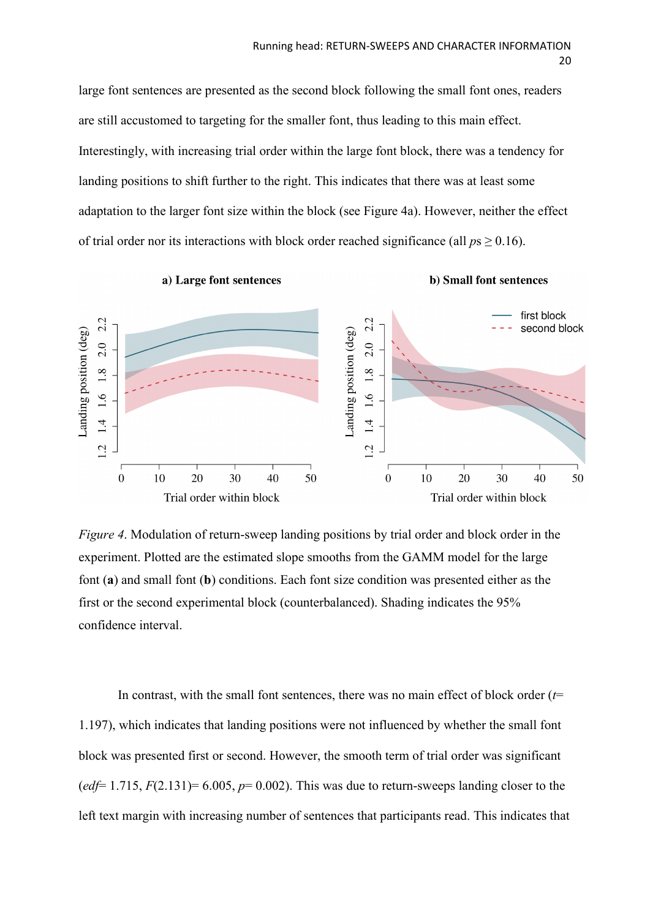large font sentences are presented as the second block following the small font ones, readers are still accustomed to targeting for the smaller font, thus leading to this main effect. Interestingly, with increasing trial order within the large font block, there was a tendency for landing positions to shift further to the right. This indicates that there was at least some adaptation to the larger font size within the block (see Figure 4a). However, neither the effect of trial order nor its interactions with block order reached significance (all  $ps \ge 0.16$ ).

a) Large font sentences

b) Small font sentences



*Figure 4*. Modulation of return-sweep landing positions by trial order and block order in the experiment. Plotted are the estimated slope smooths from the GAMM model for the large font (**a**) and small font (**b**) conditions. Each font size condition was presented either as the first or the second experimental block (counterbalanced). Shading indicates the 95% confidence interval.

In contrast, with the small font sentences, there was no main effect of block order  $(t=$ 1.197), which indicates that landing positions were not influenced by whether the small font block was presented first or second. However, the smooth term of trial order was significant ( $edf=1.715$ ,  $F(2.131)=6.005$ ,  $p=0.002$ ). This was due to return-sweeps landing closer to the left text margin with increasing number of sentences that participants read. This indicates that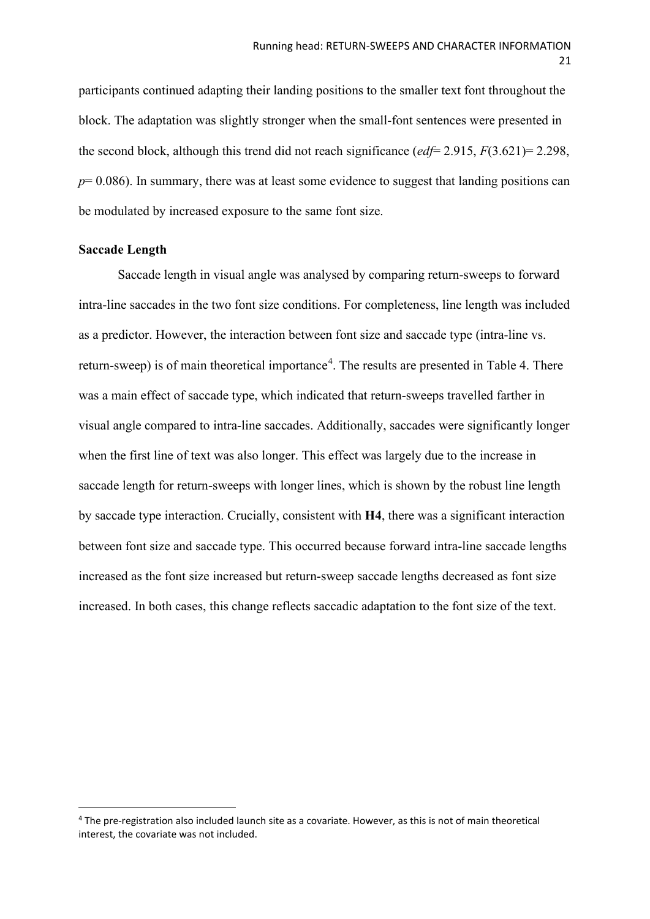participants continued adapting their landing positions to the smaller text font throughout the block. The adaptation was slightly stronger when the small-font sentences were presented in the second block, although this trend did not reach significance (*edf*= 2.915, *F*(3.621)= 2.298, *p*= 0.086). In summary, there was at least some evidence to suggest that landing positions can be modulated by increased exposure to the same font size.

## **Saccade Length**

Saccade length in visual angle was analysed by comparing return-sweeps to forward intra-line saccades in the two font size conditions. For completeness, line length was included as a predictor. However, the interaction between font size and saccade type (intra-line vs. return-sweep) is of main theoretical importance<sup>[4](#page-20-0)</sup>. The results are presented in Table 4. There was a main effect of saccade type, which indicated that return-sweeps travelled farther in visual angle compared to intra-line saccades. Additionally, saccades were significantly longer when the first line of text was also longer. This effect was largely due to the increase in saccade length for return-sweeps with longer lines, which is shown by the robust line length by saccade type interaction. Crucially, consistent with **H4**, there was a significant interaction between font size and saccade type. This occurred because forward intra-line saccade lengths increased as the font size increased but return-sweep saccade lengths decreased as font size increased. In both cases, this change reflects saccadic adaptation to the font size of the text.

<span id="page-20-0"></span><sup>4</sup> The pre-registration also included launch site as a covariate. However, as this is not of main theoretical interest, the covariate was not included.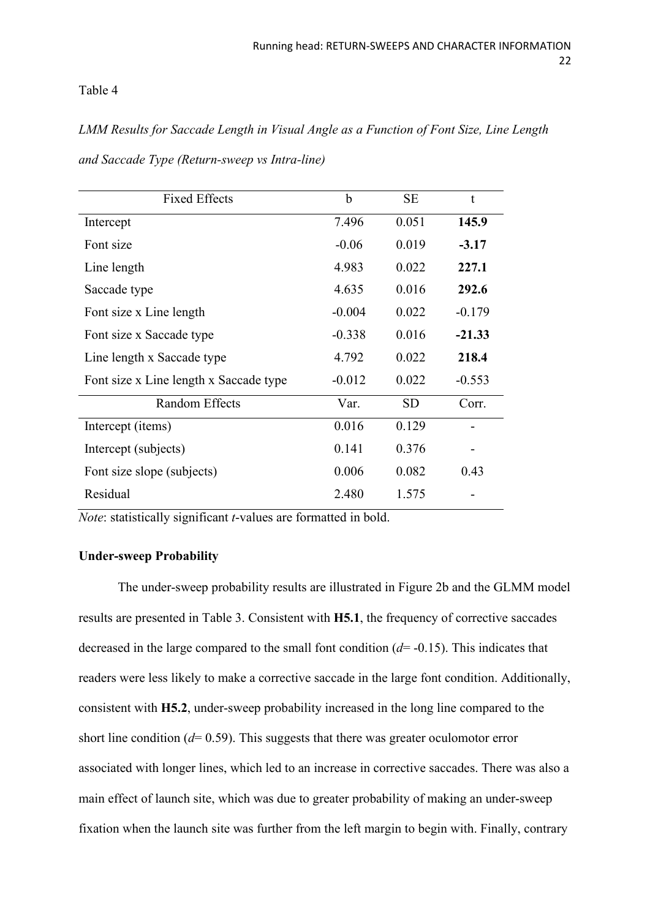# Table 4

*LMM Results for Saccade Length in Visual Angle as a Function of Font Size, Line Length and Saccade Type (Return-sweep vs Intra-line)*

| <b>Fixed Effects</b>                   | $\mathbf b$ | <b>SE</b> | t        |
|----------------------------------------|-------------|-----------|----------|
| Intercept                              | 7.496       | 0.051     | 145.9    |
| Font size                              | $-0.06$     | 0.019     | $-3.17$  |
| Line length                            | 4.983       | 0.022     | 227.1    |
| Saccade type                           | 4.635       | 0.016     | 292.6    |
| Font size x Line length                | $-0.004$    | 0.022     | $-0.179$ |
| Font size x Saccade type               | $-0.338$    | 0.016     | $-21.33$ |
| Line length x Saccade type             | 4.792       | 0.022     | 218.4    |
| Font size x Line length x Saccade type | $-0.012$    | 0.022     | $-0.553$ |
| Random Effects                         | Var.        | <b>SD</b> | Corr.    |
| Intercept (items)                      | 0.016       | 0.129     |          |
| Intercept (subjects)                   | 0.141       | 0.376     |          |
| Font size slope (subjects)             | 0.006       | 0.082     | 0.43     |
| Residual                               | 2.480       | 1.575     |          |

*Note*: statistically significant *t*-values are formatted in bold.

# **Under-sweep Probability**

The under-sweep probability results are illustrated in Figure 2b and the GLMM model results are presented in Table 3. Consistent with **H5.1**, the frequency of corrective saccades decreased in the large compared to the small font condition (*d*= -0.15). This indicates that readers were less likely to make a corrective saccade in the large font condition. Additionally, consistent with **H5.2**, under-sweep probability increased in the long line compared to the short line condition (*d*= 0.59). This suggests that there was greater oculomotor error associated with longer lines, which led to an increase in corrective saccades. There was also a main effect of launch site, which was due to greater probability of making an under-sweep fixation when the launch site was further from the left margin to begin with. Finally, contrary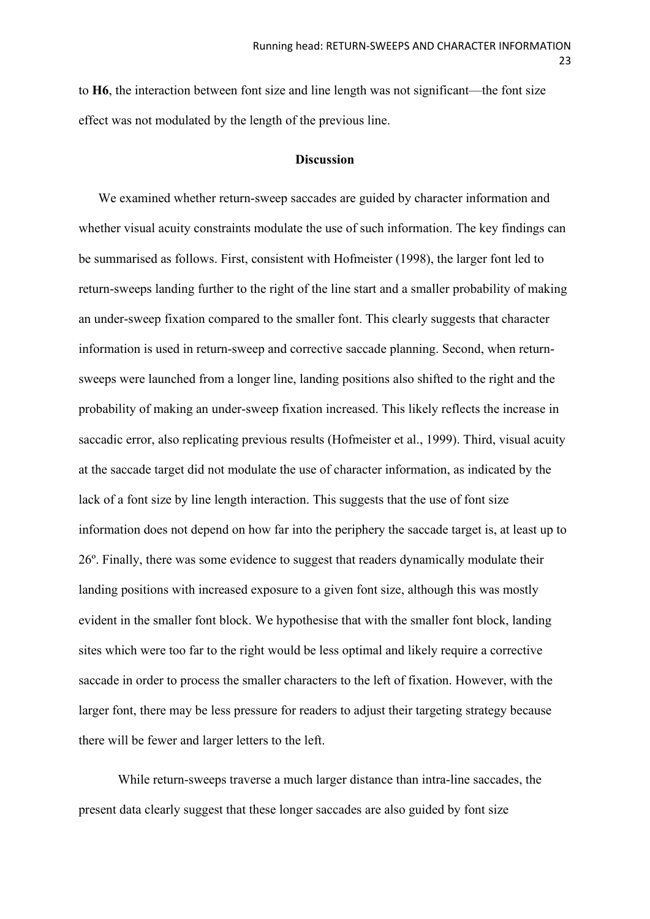to **H6**, the interaction between font size and line length was not significant—the font size effect was not modulated by the length of the previous line.

#### **Discussion**

We examined whether return-sweep saccades are guided by character information and whether visual acuity constraints modulate the use of such information. The key findings can be summarised as follows. First, consistent with Hofmeister (1998), the larger font led to return-sweeps landing further to the right of the line start and a smaller probability of making an under-sweep fixation compared to the smaller font. This clearly suggests that character information is used in return-sweep and corrective saccade planning. Second, when returnsweeps were launched from a longer line, landing positions also shifted to the right and the probability of making an under-sweep fixation increased. This likely reflects the increase in saccadic error, also replicating previous results (Hofmeister et al., 1999). Third, visual acuity at the saccade target did not modulate the use of character information, as indicated by the lack of a font size by line length interaction. This suggests that the use of font size information does not depend on how far into the periphery the saccade target is, at least up to 26º. Finally, there was some evidence to suggest that readers dynamically modulate their landing positions with increased exposure to a given font size, although this was mostly evident in the smaller font block. We hypothesise that with the smaller font block, landing sites which were too far to the right would be less optimal and likely require a corrective saccade in order to process the smaller characters to the left of fixation. However, with the larger font, there may be less pressure for readers to adjust their targeting strategy because there will be fewer and larger letters to the left.

While return-sweeps traverse a much larger distance than intra-line saccades, the present data clearly suggest that these longer saccades are also guided by font size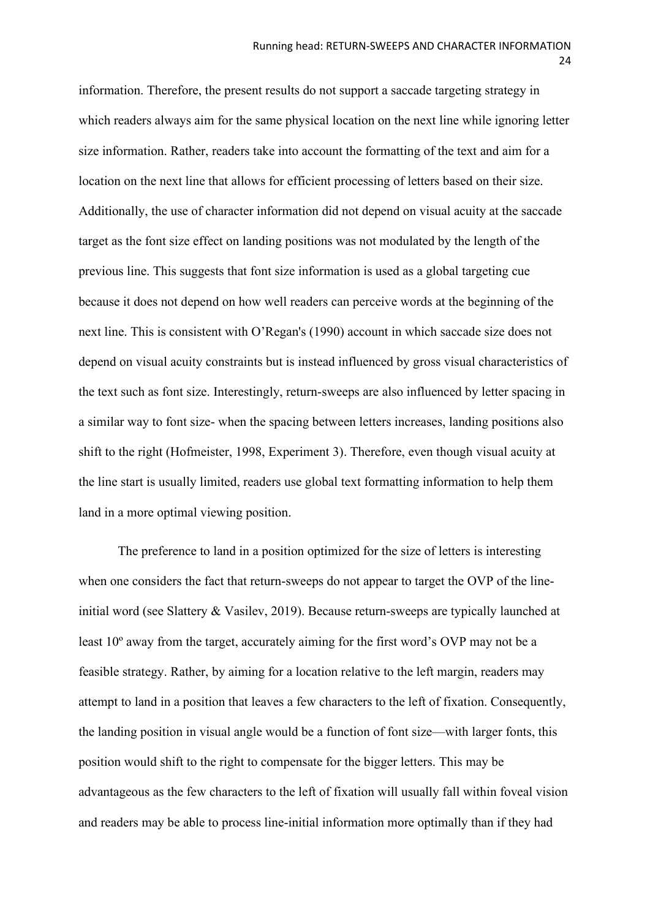information. Therefore, the present results do not support a saccade targeting strategy in which readers always aim for the same physical location on the next line while ignoring letter size information. Rather, readers take into account the formatting of the text and aim for a location on the next line that allows for efficient processing of letters based on their size. Additionally, the use of character information did not depend on visual acuity at the saccade target as the font size effect on landing positions was not modulated by the length of the previous line. This suggests that font size information is used as a global targeting cue because it does not depend on how well readers can perceive words at the beginning of the next line. This is consistent with O'Regan's (1990) account in which saccade size does not depend on visual acuity constraints but is instead influenced by gross visual characteristics of the text such as font size. Interestingly, return-sweeps are also influenced by letter spacing in a similar way to font size- when the spacing between letters increases, landing positions also shift to the right (Hofmeister, 1998, Experiment 3). Therefore, even though visual acuity at the line start is usually limited, readers use global text formatting information to help them land in a more optimal viewing position.

The preference to land in a position optimized for the size of letters is interesting when one considers the fact that return-sweeps do not appear to target the OVP of the lineinitial word (see Slattery & Vasilev, 2019). Because return-sweeps are typically launched at least 10º away from the target, accurately aiming for the first word's OVP may not be a feasible strategy. Rather, by aiming for a location relative to the left margin, readers may attempt to land in a position that leaves a few characters to the left of fixation. Consequently, the landing position in visual angle would be a function of font size—with larger fonts, this position would shift to the right to compensate for the bigger letters. This may be advantageous as the few characters to the left of fixation will usually fall within foveal vision and readers may be able to process line-initial information more optimally than if they had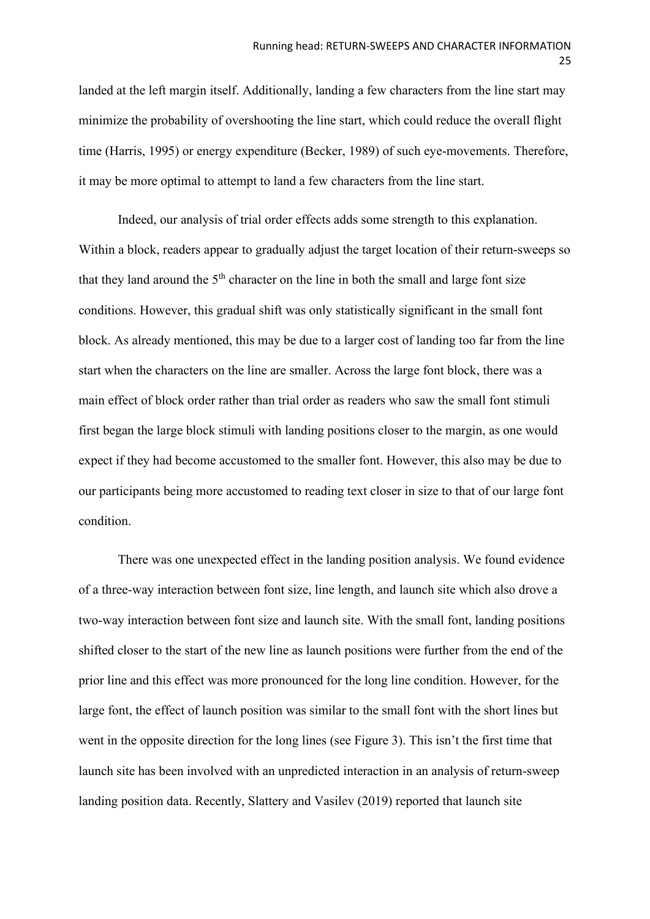landed at the left margin itself. Additionally, landing a few characters from the line start may minimize the probability of overshooting the line start, which could reduce the overall flight time (Harris, 1995) or energy expenditure (Becker, 1989) of such eye-movements. Therefore, it may be more optimal to attempt to land a few characters from the line start.

Indeed, our analysis of trial order effects adds some strength to this explanation. Within a block, readers appear to gradually adjust the target location of their return-sweeps so that they land around the  $5<sup>th</sup>$  character on the line in both the small and large font size conditions. However, this gradual shift was only statistically significant in the small font block. As already mentioned, this may be due to a larger cost of landing too far from the line start when the characters on the line are smaller. Across the large font block, there was a main effect of block order rather than trial order as readers who saw the small font stimuli first began the large block stimuli with landing positions closer to the margin, as one would expect if they had become accustomed to the smaller font. However, this also may be due to our participants being more accustomed to reading text closer in size to that of our large font condition.

There was one unexpected effect in the landing position analysis. We found evidence of a three-way interaction between font size, line length, and launch site which also drove a two-way interaction between font size and launch site. With the small font, landing positions shifted closer to the start of the new line as launch positions were further from the end of the prior line and this effect was more pronounced for the long line condition. However, for the large font, the effect of launch position was similar to the small font with the short lines but went in the opposite direction for the long lines (see Figure 3). This isn't the first time that launch site has been involved with an unpredicted interaction in an analysis of return-sweep landing position data. Recently, Slattery and Vasilev (2019) reported that launch site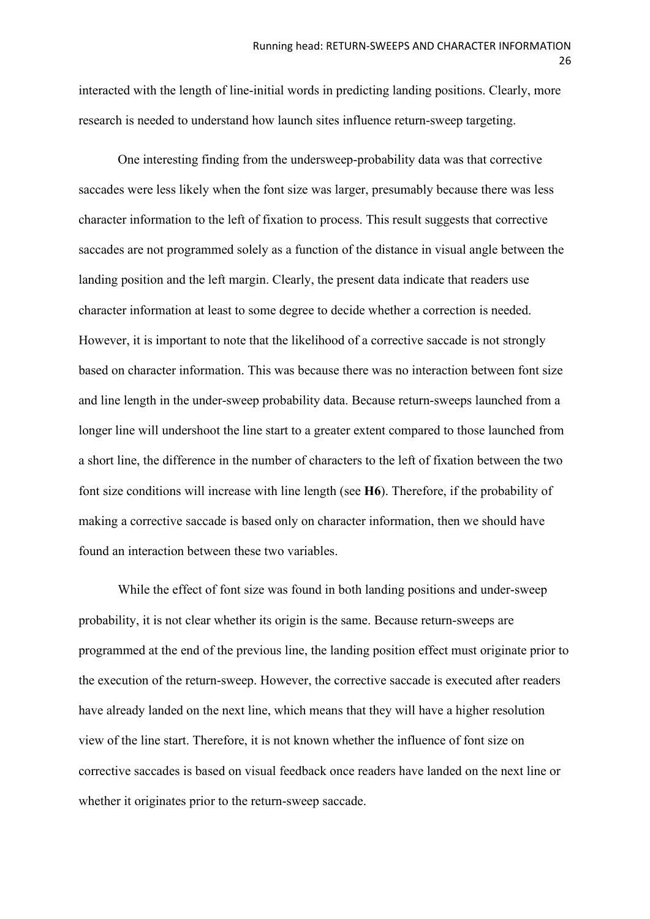interacted with the length of line-initial words in predicting landing positions. Clearly, more research is needed to understand how launch sites influence return-sweep targeting.

One interesting finding from the undersweep-probability data was that corrective saccades were less likely when the font size was larger, presumably because there was less character information to the left of fixation to process. This result suggests that corrective saccades are not programmed solely as a function of the distance in visual angle between the landing position and the left margin. Clearly, the present data indicate that readers use character information at least to some degree to decide whether a correction is needed. However, it is important to note that the likelihood of a corrective saccade is not strongly based on character information. This was because there was no interaction between font size and line length in the under-sweep probability data. Because return-sweeps launched from a longer line will undershoot the line start to a greater extent compared to those launched from a short line, the difference in the number of characters to the left of fixation between the two font size conditions will increase with line length (see **H6**). Therefore, if the probability of making a corrective saccade is based only on character information, then we should have found an interaction between these two variables.

While the effect of font size was found in both landing positions and under-sweep probability, it is not clear whether its origin is the same. Because return-sweeps are programmed at the end of the previous line, the landing position effect must originate prior to the execution of the return-sweep. However, the corrective saccade is executed after readers have already landed on the next line, which means that they will have a higher resolution view of the line start. Therefore, it is not known whether the influence of font size on corrective saccades is based on visual feedback once readers have landed on the next line or whether it originates prior to the return-sweep saccade.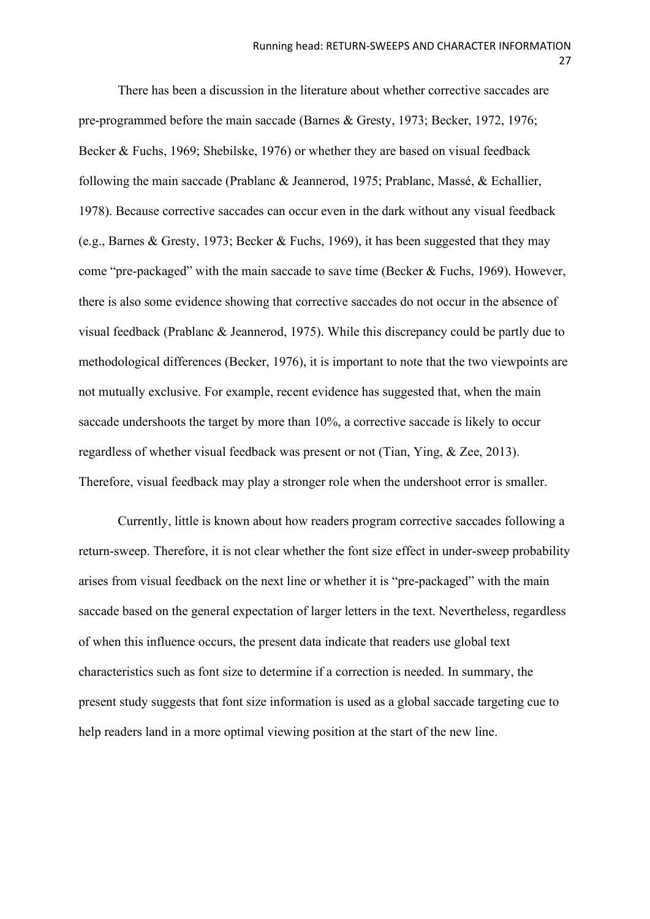There has been a discussion in the literature about whether corrective saccades are pre-programmed before the main saccade (Barnes & Gresty, 1973; Becker, 1972, 1976; Becker & Fuchs, 1969; Shebilske, 1976) or whether they are based on visual feedback following the main saccade (Prablanc & Jeannerod, 1975; Prablanc, Massé, & Echallier, 1978). Because corrective saccades can occur even in the dark without any visual feedback (e.g., Barnes & Gresty, 1973; Becker & Fuchs, 1969), it has been suggested that they may come "pre-packaged" with the main saccade to save time (Becker & Fuchs, 1969). However, there is also some evidence showing that corrective saccades do not occur in the absence of visual feedback (Prablanc & Jeannerod, 1975). While this discrepancy could be partly due to methodological differences (Becker, 1976), it is important to note that the two viewpoints are not mutually exclusive. For example, recent evidence has suggested that, when the main saccade undershoots the target by more than 10%, a corrective saccade is likely to occur regardless of whether visual feedback was present or not (Tian, Ying, & Zee, 2013). Therefore, visual feedback may play a stronger role when the undershoot error is smaller.

Currently, little is known about how readers program corrective saccades following a return-sweep. Therefore, it is not clear whether the font size effect in under-sweep probability arises from visual feedback on the next line or whether it is "pre-packaged" with the main saccade based on the general expectation of larger letters in the text. Nevertheless, regardless of when this influence occurs, the present data indicate that readers use global text characteristics such as font size to determine if a correction is needed. In summary, the present study suggests that font size information is used as a global saccade targeting cue to help readers land in a more optimal viewing position at the start of the new line.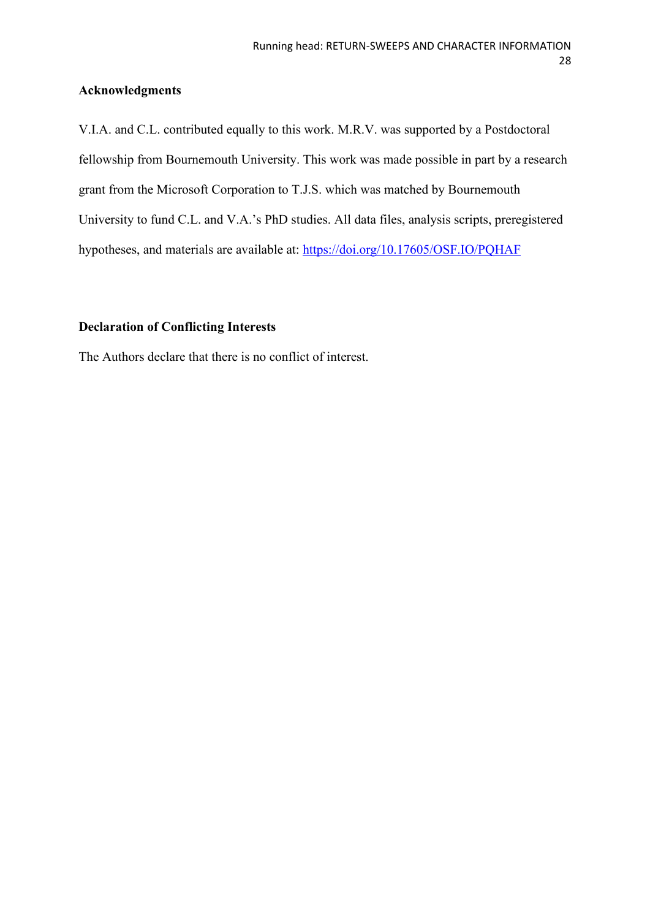# **Acknowledgments**

V.I.A. and C.L. contributed equally to this work. M.R.V. was supported by a Postdoctoral fellowship from Bournemouth University. This work was made possible in part by a research grant from the Microsoft Corporation to T.J.S. which was matched by Bournemouth University to fund C.L. and V.A.'s PhD studies. All data files, analysis scripts, preregistered hypotheses, and materials are available at: <https://doi.org/10.17605/OSF.IO/PQHAF>

# **Declaration of Conflicting Interests**

The Authors declare that there is no conflict of interest.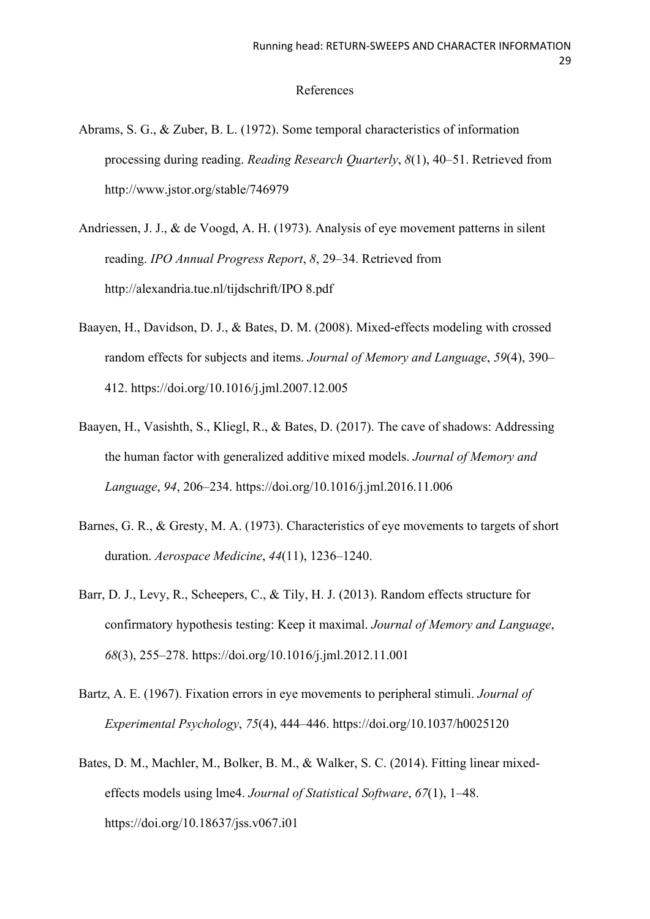## References

- Abrams, S. G., & Zuber, B. L. (1972). Some temporal characteristics of information processing during reading. *Reading Research Quarterly*, *8*(1), 40–51. Retrieved from http://www.jstor.org/stable/746979
- Andriessen, J. J., & de Voogd, A. H. (1973). Analysis of eye movement patterns in silent reading. *IPO Annual Progress Report*, *8*, 29–34. Retrieved from http://alexandria.tue.nl/tijdschrift/IPO 8.pdf
- Baayen, H., Davidson, D. J., & Bates, D. M. (2008). Mixed-effects modeling with crossed random effects for subjects and items. *Journal of Memory and Language*, *59*(4), 390– 412. https://doi.org/10.1016/j.jml.2007.12.005
- Baayen, H., Vasishth, S., Kliegl, R., & Bates, D. (2017). The cave of shadows: Addressing the human factor with generalized additive mixed models. *Journal of Memory and Language*, *94*, 206–234. https://doi.org/10.1016/j.jml.2016.11.006
- Barnes, G. R., & Gresty, M. A. (1973). Characteristics of eye movements to targets of short duration. *Aerospace Medicine*, *44*(11), 1236–1240.
- Barr, D. J., Levy, R., Scheepers, C., & Tily, H. J. (2013). Random effects structure for confirmatory hypothesis testing: Keep it maximal. *Journal of Memory and Language*, *68*(3), 255–278. https://doi.org/10.1016/j.jml.2012.11.001
- Bartz, A. E. (1967). Fixation errors in eye movements to peripheral stimuli. *Journal of Experimental Psychology*, *75*(4), 444–446. https://doi.org/10.1037/h0025120
- Bates, D. M., Machler, M., Bolker, B. M., & Walker, S. C. (2014). Fitting linear mixedeffects models using lme4. *Journal of Statistical Software*, *67*(1), 1–48. https://doi.org/10.18637/jss.v067.i01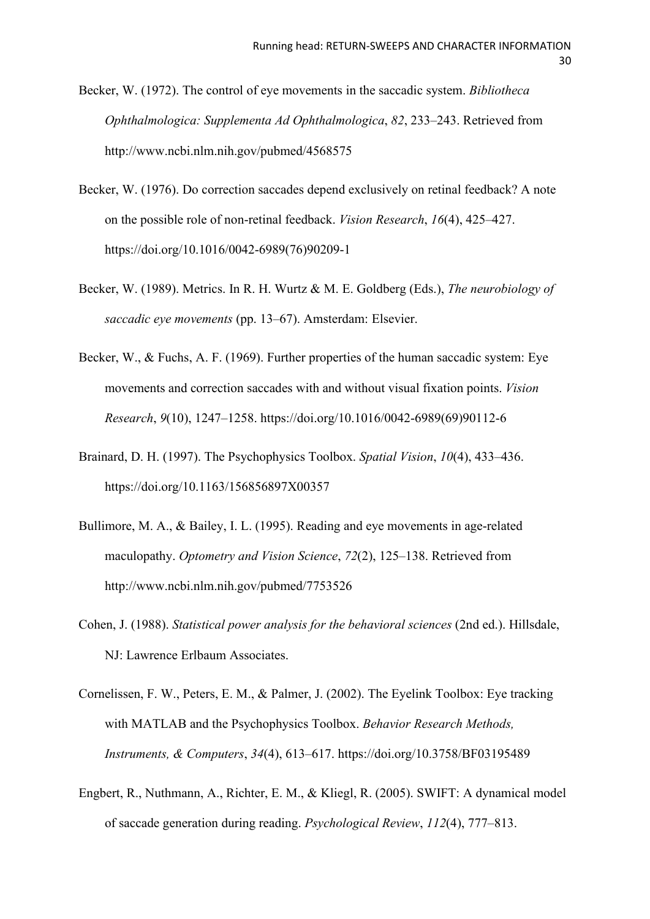Becker, W. (1972). The control of eye movements in the saccadic system. *Bibliotheca Ophthalmologica: Supplementa Ad Ophthalmologica*, *82*, 233–243. Retrieved from http://www.ncbi.nlm.nih.gov/pubmed/4568575

- Becker, W. (1976). Do correction saccades depend exclusively on retinal feedback? A note on the possible role of non-retinal feedback. *Vision Research*, *16*(4), 425–427. https://doi.org/10.1016/0042-6989(76)90209-1
- Becker, W. (1989). Metrics. In R. H. Wurtz & M. E. Goldberg (Eds.), *The neurobiology of saccadic eye movements* (pp. 13–67). Amsterdam: Elsevier.
- Becker, W., & Fuchs, A. F. (1969). Further properties of the human saccadic system: Eye movements and correction saccades with and without visual fixation points. *Vision Research*, *9*(10), 1247–1258. https://doi.org/10.1016/0042-6989(69)90112-6
- Brainard, D. H. (1997). The Psychophysics Toolbox. *Spatial Vision*, *10*(4), 433–436. https://doi.org/10.1163/156856897X00357
- Bullimore, M. A., & Bailey, I. L. (1995). Reading and eye movements in age-related maculopathy. *Optometry and Vision Science*, *72*(2), 125–138. Retrieved from http://www.ncbi.nlm.nih.gov/pubmed/7753526
- Cohen, J. (1988). *Statistical power analysis for the behavioral sciences* (2nd ed.). Hillsdale, NJ: Lawrence Erlbaum Associates.
- Cornelissen, F. W., Peters, E. M., & Palmer, J. (2002). The Eyelink Toolbox: Eye tracking with MATLAB and the Psychophysics Toolbox. *Behavior Research Methods, Instruments, & Computers*, *34*(4), 613–617. https://doi.org/10.3758/BF03195489
- Engbert, R., Nuthmann, A., Richter, E. M., & Kliegl, R. (2005). SWIFT: A dynamical model of saccade generation during reading. *Psychological Review*, *112*(4), 777–813.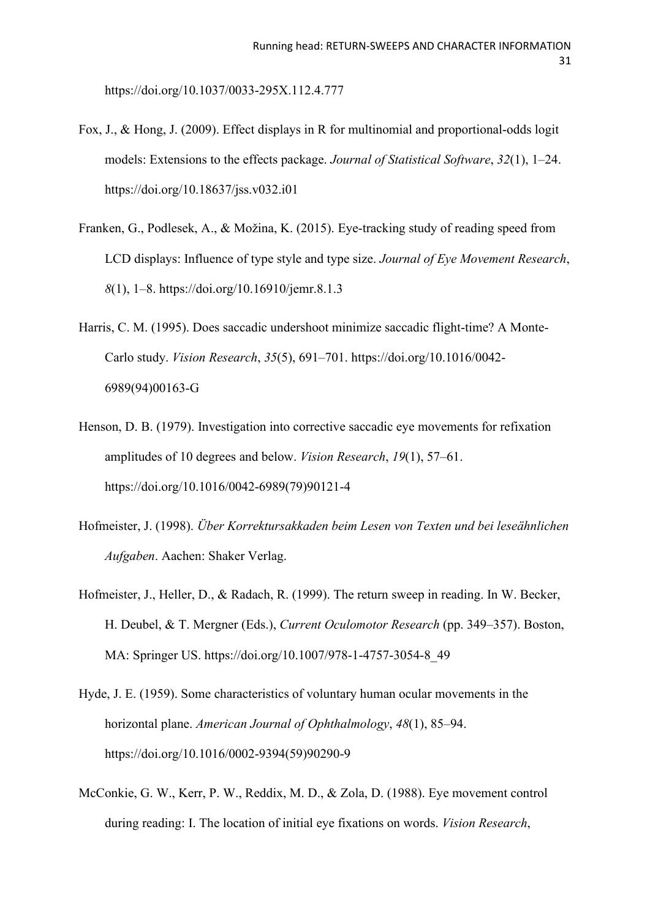https://doi.org/10.1037/0033-295X.112.4.777

- Fox, J., & Hong, J. (2009). Effect displays in R for multinomial and proportional-odds logit models: Extensions to the effects package. *Journal of Statistical Software*, *32*(1), 1–24. https://doi.org/10.18637/jss.v032.i01
- Franken, G., Podlesek, A., & Možina, K. (2015). Eye-tracking study of reading speed from LCD displays: Influence of type style and type size. *Journal of Eye Movement Research*, *8*(1), 1–8. https://doi.org/10.16910/jemr.8.1.3
- Harris, C. M. (1995). Does saccadic undershoot minimize saccadic flight-time? A Monte-Carlo study. *Vision Research*, *35*(5), 691–701. https://doi.org/10.1016/0042- 6989(94)00163-G
- Henson, D. B. (1979). Investigation into corrective saccadic eye movements for refixation amplitudes of 10 degrees and below. *Vision Research*, *19*(1), 57–61. https://doi.org/10.1016/0042-6989(79)90121-4
- Hofmeister, J. (1998). *Über Korrektursakkaden beim Lesen von Texten und bei leseähnlichen Aufgaben*. Aachen: Shaker Verlag.
- Hofmeister, J., Heller, D., & Radach, R. (1999). The return sweep in reading. In W. Becker, H. Deubel, & T. Mergner (Eds.), *Current Oculomotor Research* (pp. 349–357). Boston, MA: Springer US. https://doi.org/10.1007/978-1-4757-3054-8\_49
- Hyde, J. E. (1959). Some characteristics of voluntary human ocular movements in the horizontal plane. *American Journal of Ophthalmology*, *48*(1), 85–94. https://doi.org/10.1016/0002-9394(59)90290-9
- McConkie, G. W., Kerr, P. W., Reddix, M. D., & Zola, D. (1988). Eye movement control during reading: I. The location of initial eye fixations on words. *Vision Research*,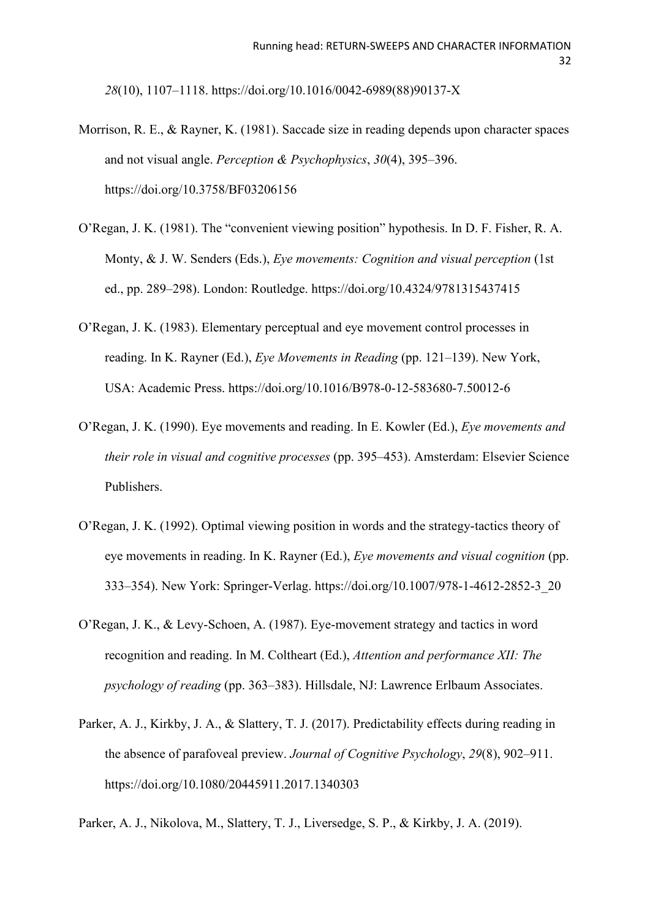*28*(10), 1107–1118. https://doi.org/10.1016/0042-6989(88)90137-X

- Morrison, R. E., & Rayner, K. (1981). Saccade size in reading depends upon character spaces and not visual angle. *Perception & Psychophysics*, *30*(4), 395–396. https://doi.org/10.3758/BF03206156
- O'Regan, J. K. (1981). The "convenient viewing position" hypothesis. In D. F. Fisher, R. A. Monty, & J. W. Senders (Eds.), *Eye movements: Cognition and visual perception* (1st ed., pp. 289–298). London: Routledge. https://doi.org/10.4324/9781315437415
- O'Regan, J. K. (1983). Elementary perceptual and eye movement control processes in reading. In K. Rayner (Ed.), *Eye Movements in Reading* (pp. 121–139). New York, USA: Academic Press. https://doi.org/10.1016/B978-0-12-583680-7.50012-6
- O'Regan, J. K. (1990). Eye movements and reading. In E. Kowler (Ed.), *Eye movements and their role in visual and cognitive processes* (pp. 395–453). Amsterdam: Elsevier Science Publishers.
- O'Regan, J. K. (1992). Optimal viewing position in words and the strategy-tactics theory of eye movements in reading. In K. Rayner (Ed.), *Eye movements and visual cognition* (pp. 333–354). New York: Springer-Verlag. https://doi.org/10.1007/978-1-4612-2852-3\_20
- O'Regan, J. K., & Levy-Schoen, A. (1987). Eye-movement strategy and tactics in word recognition and reading. In M. Coltheart (Ed.), *Attention and performance XII: The psychology of reading* (pp. 363–383). Hillsdale, NJ: Lawrence Erlbaum Associates.
- Parker, A. J., Kirkby, J. A., & Slattery, T. J. (2017). Predictability effects during reading in the absence of parafoveal preview. *Journal of Cognitive Psychology*, *29*(8), 902–911. https://doi.org/10.1080/20445911.2017.1340303

Parker, A. J., Nikolova, M., Slattery, T. J., Liversedge, S. P., & Kirkby, J. A. (2019).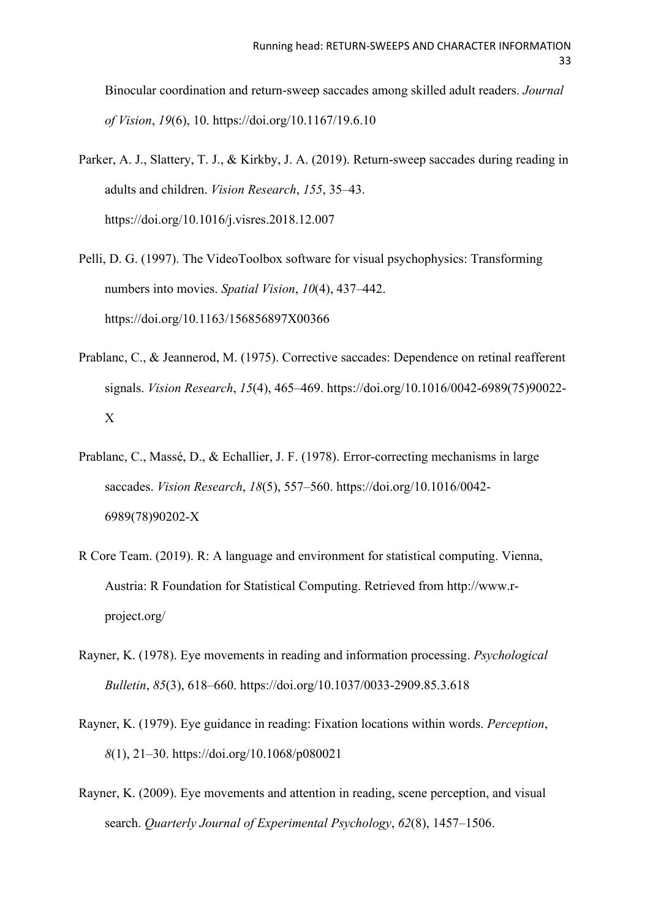Binocular coordination and return-sweep saccades among skilled adult readers. *Journal of Vision*, *19*(6), 10. https://doi.org/10.1167/19.6.10

- Parker, A. J., Slattery, T. J., & Kirkby, J. A. (2019). Return-sweep saccades during reading in adults and children. *Vision Research*, *155*, 35–43. https://doi.org/10.1016/j.visres.2018.12.007
- Pelli, D. G. (1997). The VideoToolbox software for visual psychophysics: Transforming numbers into movies. *Spatial Vision*, *10*(4), 437–442. https://doi.org/10.1163/156856897X00366
- Prablanc, C., & Jeannerod, M. (1975). Corrective saccades: Dependence on retinal reafferent signals. *Vision Research*, *15*(4), 465–469. https://doi.org/10.1016/0042-6989(75)90022- X
- Prablanc, C., Massé, D., & Echallier, J. F. (1978). Error-correcting mechanisms in large saccades. *Vision Research*, *18*(5), 557–560. https://doi.org/10.1016/0042- 6989(78)90202-X
- R Core Team. (2019). R: A language and environment for statistical computing. Vienna, Austria: R Foundation for Statistical Computing. Retrieved from http://www.rproject.org/
- Rayner, K. (1978). Eye movements in reading and information processing. *Psychological Bulletin*, *85*(3), 618–660. https://doi.org/10.1037/0033-2909.85.3.618
- Rayner, K. (1979). Eye guidance in reading: Fixation locations within words. *Perception*, *8*(1), 21–30. https://doi.org/10.1068/p080021
- Rayner, K. (2009). Eye movements and attention in reading, scene perception, and visual search. *Quarterly Journal of Experimental Psychology*, *62*(8), 1457–1506.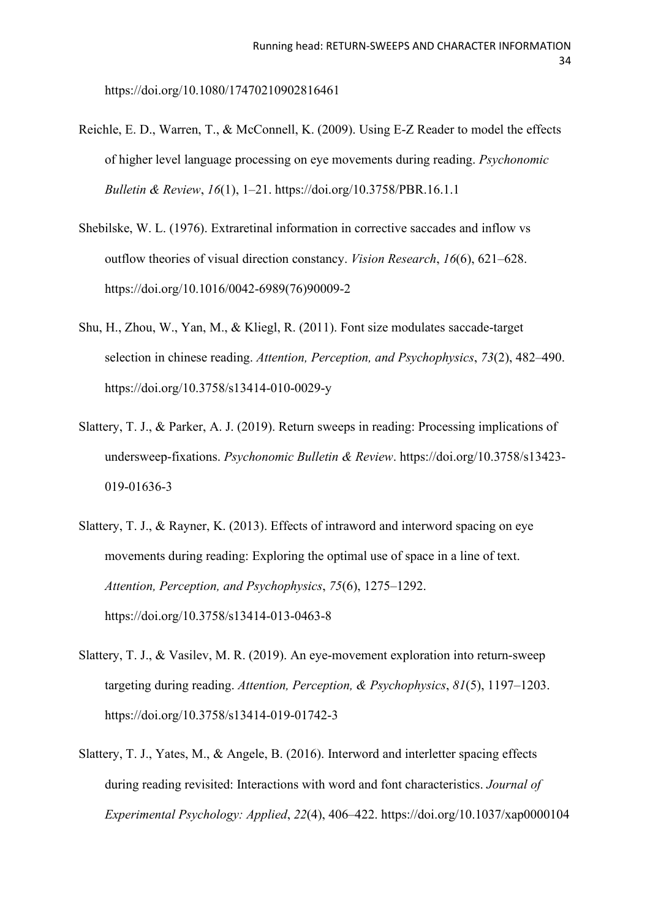https://doi.org/10.1080/17470210902816461

- Reichle, E. D., Warren, T., & McConnell, K. (2009). Using E-Z Reader to model the effects of higher level language processing on eye movements during reading. *Psychonomic Bulletin & Review*, *16*(1), 1–21. https://doi.org/10.3758/PBR.16.1.1
- Shebilske, W. L. (1976). Extraretinal information in corrective saccades and inflow vs outflow theories of visual direction constancy. *Vision Research*, *16*(6), 621–628. https://doi.org/10.1016/0042-6989(76)90009-2
- Shu, H., Zhou, W., Yan, M., & Kliegl, R. (2011). Font size modulates saccade-target selection in chinese reading. *Attention, Perception, and Psychophysics*, *73*(2), 482–490. https://doi.org/10.3758/s13414-010-0029-y
- Slattery, T. J., & Parker, A. J. (2019). Return sweeps in reading: Processing implications of undersweep-fixations. *Psychonomic Bulletin & Review*. https://doi.org/10.3758/s13423- 019-01636-3
- Slattery, T. J., & Rayner, K. (2013). Effects of intraword and interword spacing on eye movements during reading: Exploring the optimal use of space in a line of text. *Attention, Perception, and Psychophysics*, *75*(6), 1275–1292. https://doi.org/10.3758/s13414-013-0463-8
- Slattery, T. J., & Vasilev, M. R. (2019). An eye-movement exploration into return-sweep targeting during reading. *Attention, Perception, & Psychophysics*, *81*(5), 1197–1203. https://doi.org/10.3758/s13414-019-01742-3
- Slattery, T. J., Yates, M., & Angele, B. (2016). Interword and interletter spacing effects during reading revisited: Interactions with word and font characteristics. *Journal of Experimental Psychology: Applied*, *22*(4), 406–422. https://doi.org/10.1037/xap0000104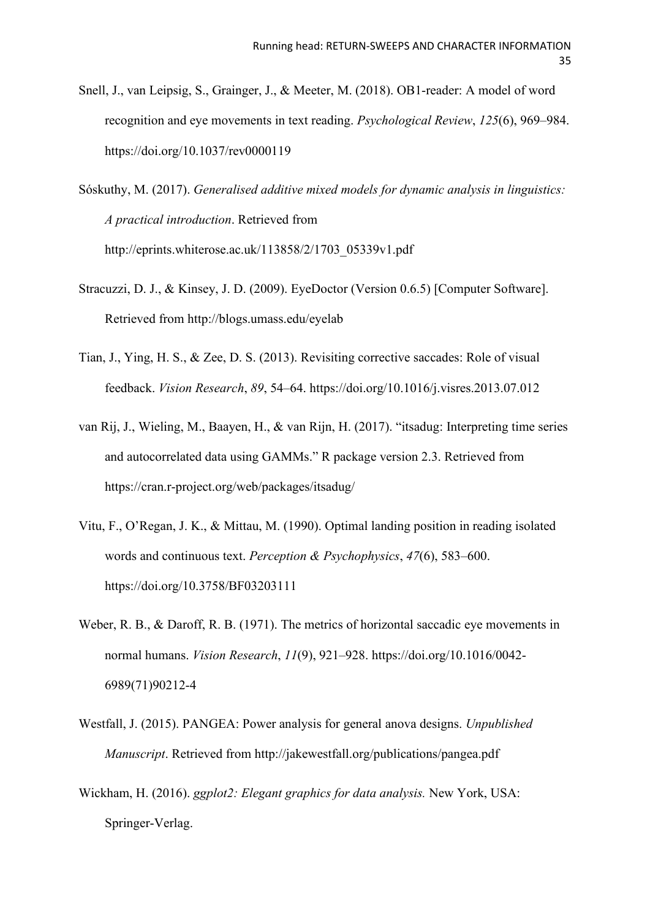- Snell, J., van Leipsig, S., Grainger, J., & Meeter, M. (2018). OB1-reader: A model of word recognition and eye movements in text reading. *Psychological Review*, *125*(6), 969–984. https://doi.org/10.1037/rev0000119
- Sóskuthy, M. (2017). *Generalised additive mixed models for dynamic analysis in linguistics: A practical introduction*. Retrieved from http://eprints.whiterose.ac.uk/113858/2/1703\_05339v1.pdf
- Stracuzzi, D. J., & Kinsey, J. D. (2009). EyeDoctor (Version 0.6.5) [Computer Software]. Retrieved from http://blogs.umass.edu/eyelab
- Tian, J., Ying, H. S., & Zee, D. S. (2013). Revisiting corrective saccades: Role of visual feedback. *Vision Research*, *89*, 54–64. https://doi.org/10.1016/j.visres.2013.07.012
- van Rij, J., Wieling, M., Baayen, H., & van Rijn, H. (2017). "itsadug: Interpreting time series and autocorrelated data using GAMMs." R package version 2.3. Retrieved from https://cran.r-project.org/web/packages/itsadug/
- Vitu, F., O'Regan, J. K., & Mittau, M. (1990). Optimal landing position in reading isolated words and continuous text. *Perception & Psychophysics*, *47*(6), 583–600. https://doi.org/10.3758/BF03203111
- Weber, R. B., & Daroff, R. B. (1971). The metrics of horizontal saccadic eye movements in normal humans. *Vision Research*, *11*(9), 921–928. https://doi.org/10.1016/0042- 6989(71)90212-4
- Westfall, J. (2015). PANGEA: Power analysis for general anova designs. *Unpublished Manuscript*. Retrieved from http://jakewestfall.org/publications/pangea.pdf
- Wickham, H. (2016). *ggplot2: Elegant graphics for data analysis.* New York, USA: Springer-Verlag.